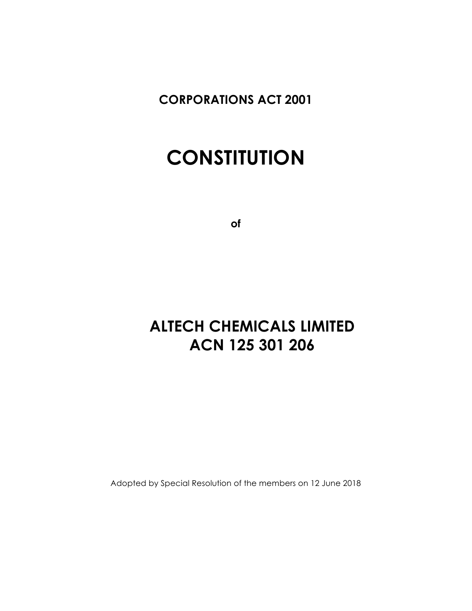**CORPORATIONS ACT 2001**

# **CONSTITUTION**

**of**

## **ALTECH CHEMICALS LIMITED ACN 125 301 206**

Adopted by Special Resolution of the members on 12 June 2018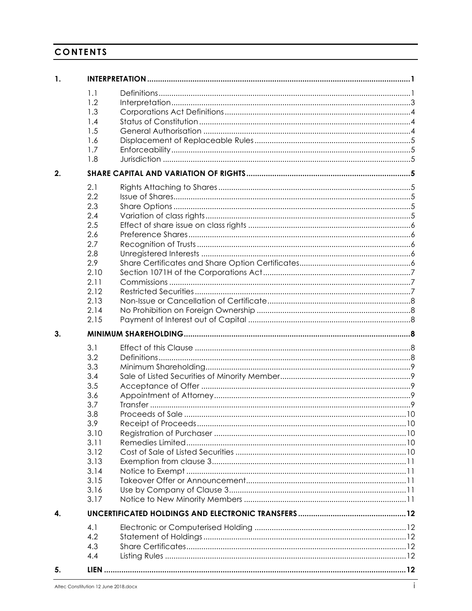## **CONTENTS**

| 1. |      |  |  |  |
|----|------|--|--|--|
|    | 1.1  |  |  |  |
|    | 1.2  |  |  |  |
|    | 1.3  |  |  |  |
|    | 1.4  |  |  |  |
|    | 1.5  |  |  |  |
|    | 1.6  |  |  |  |
|    | 1.7  |  |  |  |
|    | 1.8  |  |  |  |
| 2. |      |  |  |  |
|    | 2.1  |  |  |  |
|    | 2.2  |  |  |  |
|    | 2.3  |  |  |  |
|    | 2.4  |  |  |  |
|    | 2.5  |  |  |  |
|    | 2.6  |  |  |  |
|    | 2.7  |  |  |  |
|    | 2.8  |  |  |  |
|    | 2.9  |  |  |  |
|    | 2.10 |  |  |  |
|    | 2.11 |  |  |  |
|    | 2.12 |  |  |  |
|    | 2.13 |  |  |  |
|    | 2.14 |  |  |  |
|    | 2.15 |  |  |  |
| 3. |      |  |  |  |
|    | 3.1  |  |  |  |
|    |      |  |  |  |
|    |      |  |  |  |
|    | 3.2  |  |  |  |
|    | 3.3  |  |  |  |
|    | 3.4  |  |  |  |
|    | 3.5  |  |  |  |
|    | 3.6  |  |  |  |
|    | 3.7  |  |  |  |
|    | 3.8  |  |  |  |
|    | 3.9  |  |  |  |
|    | 3.10 |  |  |  |
|    | 3.11 |  |  |  |
|    | 3.12 |  |  |  |
|    | 3.13 |  |  |  |
|    | 3.14 |  |  |  |
|    | 3.15 |  |  |  |
|    | 3.16 |  |  |  |
|    | 3.17 |  |  |  |
| 4. |      |  |  |  |
|    | 4.1  |  |  |  |
|    | 4.2  |  |  |  |
|    | 4.3  |  |  |  |
|    | 4.4  |  |  |  |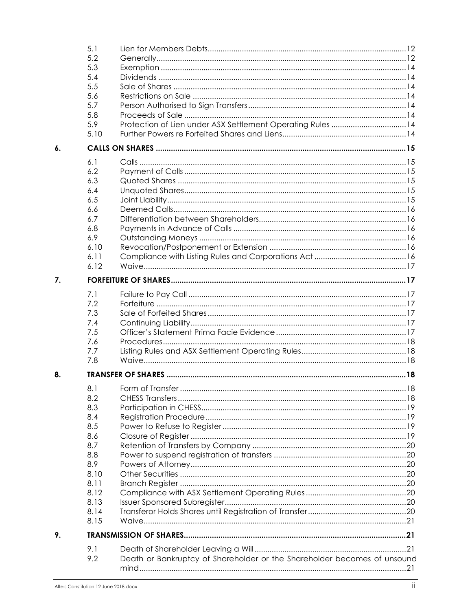|    | 5.1  |                                                                          |  |
|----|------|--------------------------------------------------------------------------|--|
|    | 5.2  |                                                                          |  |
|    | 5.3  |                                                                          |  |
|    | 5.4  |                                                                          |  |
|    | 5.5  |                                                                          |  |
|    | 5.6  |                                                                          |  |
|    | 5.7  |                                                                          |  |
|    | 5.8  |                                                                          |  |
|    | 5.9  | Protection of Lien under ASX Settlement Operating Rules 14               |  |
|    | 5.10 |                                                                          |  |
|    |      |                                                                          |  |
| 6. |      |                                                                          |  |
|    | 6.1  |                                                                          |  |
|    | 6.2  |                                                                          |  |
|    |      |                                                                          |  |
|    | 6.3  |                                                                          |  |
|    | 6.4  |                                                                          |  |
|    | 6.5  |                                                                          |  |
|    | 6.6  |                                                                          |  |
|    | 6.7  |                                                                          |  |
|    | 6.8  |                                                                          |  |
|    | 6.9  |                                                                          |  |
|    | 6.10 |                                                                          |  |
|    | 6.11 |                                                                          |  |
|    | 6.12 |                                                                          |  |
|    |      |                                                                          |  |
| 7. |      |                                                                          |  |
|    | 7.1  |                                                                          |  |
|    | 7.2  |                                                                          |  |
|    | 7.3  |                                                                          |  |
|    | 7.4  |                                                                          |  |
|    | 7.5  |                                                                          |  |
|    | 7.6  |                                                                          |  |
|    | 7.7  |                                                                          |  |
|    | 7.8  |                                                                          |  |
|    |      |                                                                          |  |
| 8. |      |                                                                          |  |
|    |      |                                                                          |  |
|    | 8.1  |                                                                          |  |
|    | 8.2  |                                                                          |  |
|    | 8.3  |                                                                          |  |
|    | 8.4  |                                                                          |  |
|    | 8.5  |                                                                          |  |
|    | 8.6  |                                                                          |  |
|    | 8.7  |                                                                          |  |
|    | 8.8  |                                                                          |  |
|    | 8.9  |                                                                          |  |
|    | 8.10 |                                                                          |  |
|    | 8.11 |                                                                          |  |
|    | 8.12 |                                                                          |  |
|    | 8.13 |                                                                          |  |
|    | 8.14 |                                                                          |  |
|    | 8.15 |                                                                          |  |
|    |      |                                                                          |  |
| 9. |      |                                                                          |  |
|    | 9.1  |                                                                          |  |
|    | 9.2  | Death or Bankruptcy of Shareholder or the Shareholder becomes of unsound |  |
|    |      |                                                                          |  |
|    |      |                                                                          |  |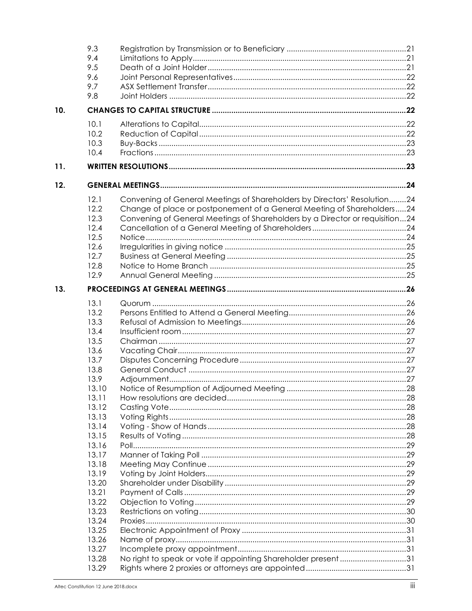|     | 9.3   |                                                                              |  |
|-----|-------|------------------------------------------------------------------------------|--|
|     | 9.4   |                                                                              |  |
|     | 9.5   |                                                                              |  |
|     | 9.6   |                                                                              |  |
|     | 9.7   |                                                                              |  |
|     | 9.8   |                                                                              |  |
| 10. |       |                                                                              |  |
|     |       |                                                                              |  |
|     | 10.1  |                                                                              |  |
|     | 10.2  |                                                                              |  |
|     | 10.3  |                                                                              |  |
|     | 10.4  |                                                                              |  |
| 11. |       |                                                                              |  |
| 12. |       |                                                                              |  |
|     | 12.1  | Convening of General Meetings of Shareholders by Directors' Resolution24     |  |
|     | 12.2  | Change of place or postponement of a General Meeting of Shareholders24       |  |
|     | 12.3  | Convening of General Meetings of Shareholders by a Director or requisition24 |  |
|     | 12.4  |                                                                              |  |
|     | 12.5  |                                                                              |  |
|     | 12.6  |                                                                              |  |
|     | 12.7  |                                                                              |  |
|     | 12.8  |                                                                              |  |
|     | 12.9  |                                                                              |  |
| 13. |       |                                                                              |  |
|     | 13.1  |                                                                              |  |
|     | 13.2  |                                                                              |  |
|     | 13.3  |                                                                              |  |
|     | 13.4  |                                                                              |  |
|     | 13.5  |                                                                              |  |
|     | 13.6  |                                                                              |  |
|     | 13.7  |                                                                              |  |
|     | 13.8  |                                                                              |  |
|     | 13.9  |                                                                              |  |
|     | 13.10 |                                                                              |  |
|     | 13.11 |                                                                              |  |
|     | 13.12 |                                                                              |  |
|     | 13.13 |                                                                              |  |
|     | 13.14 |                                                                              |  |
|     | 13.15 |                                                                              |  |
|     | 13.16 |                                                                              |  |
|     | 13.17 |                                                                              |  |
|     | 13.18 |                                                                              |  |
|     | 13.19 |                                                                              |  |
|     | 13.20 |                                                                              |  |
|     | 13.21 |                                                                              |  |
|     | 13.22 |                                                                              |  |
|     |       |                                                                              |  |
|     | 13.23 |                                                                              |  |
|     | 13.24 |                                                                              |  |
|     | 13.25 |                                                                              |  |
|     | 13.26 |                                                                              |  |
|     | 13.27 |                                                                              |  |
|     | 13.28 | No right to speak or vote if appointing Shareholder present31                |  |
|     | 13.29 |                                                                              |  |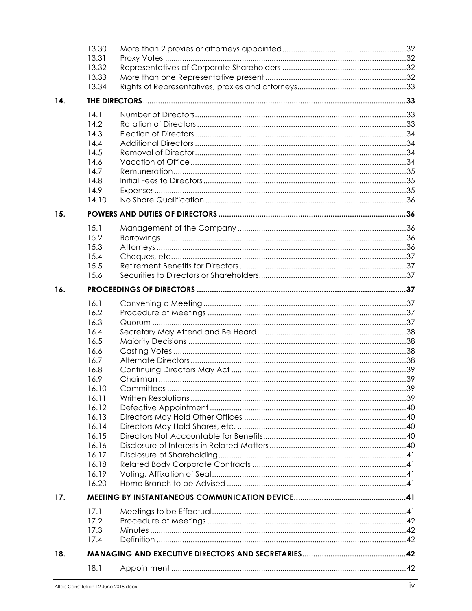|     | 13.30        |  |  |  |
|-----|--------------|--|--|--|
|     | 13.31        |  |  |  |
|     | 13.32        |  |  |  |
|     | 13.33        |  |  |  |
|     | 13.34        |  |  |  |
| 14. |              |  |  |  |
|     | 14.1         |  |  |  |
|     | 14.2         |  |  |  |
|     | 14.3         |  |  |  |
|     | 14.4         |  |  |  |
|     | 14.5         |  |  |  |
|     | 14.6         |  |  |  |
|     | 14.7         |  |  |  |
|     | 14.8         |  |  |  |
|     | 14.9         |  |  |  |
|     | 14.10        |  |  |  |
| 15. |              |  |  |  |
|     |              |  |  |  |
|     | 15.1<br>15.2 |  |  |  |
|     | 15.3         |  |  |  |
|     | 15.4         |  |  |  |
|     | 15.5         |  |  |  |
|     | 15.6         |  |  |  |
| 16. |              |  |  |  |
|     |              |  |  |  |
|     | 16.1         |  |  |  |
|     | 16.2         |  |  |  |
|     | 16.3         |  |  |  |
|     | 16.4         |  |  |  |
|     | 16.5         |  |  |  |
|     | 16.6<br>16.7 |  |  |  |
|     | 16.8         |  |  |  |
|     | 16.9         |  |  |  |
|     | 16.10        |  |  |  |
|     | 16.11        |  |  |  |
|     | 16.12        |  |  |  |
|     | 16.13        |  |  |  |
|     | 16.14        |  |  |  |
|     | 16.15        |  |  |  |
|     | 16.16        |  |  |  |
|     | 16.17        |  |  |  |
|     | 16.18        |  |  |  |
|     | 16.19        |  |  |  |
|     | 16.20        |  |  |  |
| 17. |              |  |  |  |
|     | 17.1         |  |  |  |
|     | 17.2         |  |  |  |
|     | 17.3         |  |  |  |
|     | 17.4         |  |  |  |
| 18. |              |  |  |  |
|     | 18.1         |  |  |  |
|     |              |  |  |  |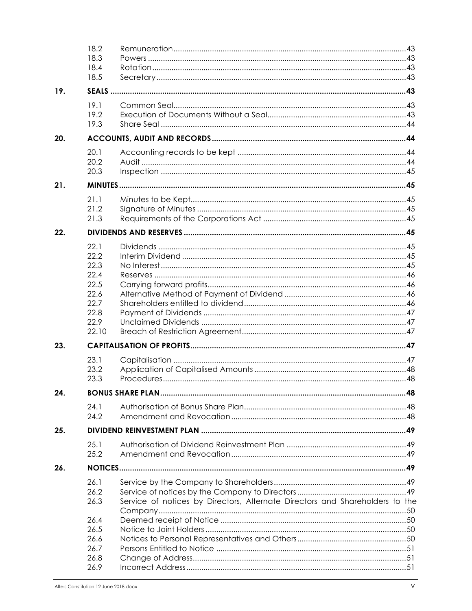|     | 18.2<br>18.3<br>18.4<br>18.5 |                                                                              |  |  |
|-----|------------------------------|------------------------------------------------------------------------------|--|--|
| 19. |                              |                                                                              |  |  |
|     | 19.1<br>19.2<br>19.3         |                                                                              |  |  |
| 20. |                              |                                                                              |  |  |
|     | 20.1                         |                                                                              |  |  |
|     | 20.2<br>20.3                 |                                                                              |  |  |
| 21. |                              |                                                                              |  |  |
|     | 21.1<br>21.2<br>21.3         |                                                                              |  |  |
| 22. |                              |                                                                              |  |  |
|     | 22.1                         |                                                                              |  |  |
|     | 22.2<br>22.3                 |                                                                              |  |  |
|     | 22.4                         |                                                                              |  |  |
|     | 22.5                         |                                                                              |  |  |
|     | 22.6<br>22.7                 |                                                                              |  |  |
|     | 22.8                         |                                                                              |  |  |
|     | 22.9<br>22.10                |                                                                              |  |  |
| 23. |                              |                                                                              |  |  |
|     | 23.1                         |                                                                              |  |  |
|     | 23.2                         |                                                                              |  |  |
|     | 23.3                         |                                                                              |  |  |
| 24. |                              |                                                                              |  |  |
|     | 24.1                         |                                                                              |  |  |
|     | 24.2                         |                                                                              |  |  |
| 25. |                              |                                                                              |  |  |
|     | 25.1                         |                                                                              |  |  |
|     | 25.2                         |                                                                              |  |  |
| 26. |                              |                                                                              |  |  |
|     | 26.1                         |                                                                              |  |  |
|     | 26.2                         |                                                                              |  |  |
|     | 26.3                         | Service of notices by Directors, Alternate Directors and Shareholders to the |  |  |
|     | 26.4                         |                                                                              |  |  |
|     | 26.5                         |                                                                              |  |  |
|     | 26.6                         |                                                                              |  |  |
|     | 26.7                         |                                                                              |  |  |
|     | 26.8                         |                                                                              |  |  |
|     | 26.9                         |                                                                              |  |  |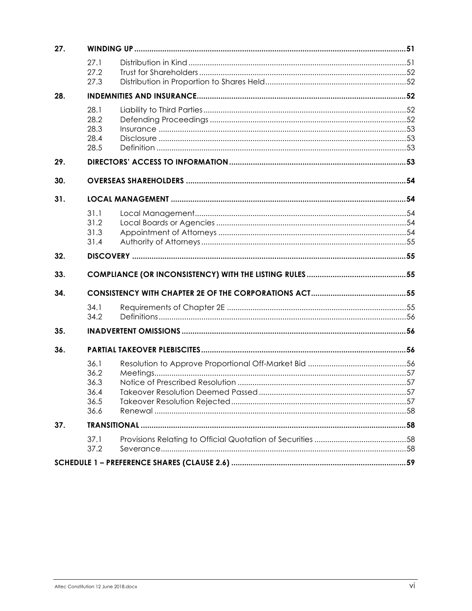| 27. |                                              |  |  |  |
|-----|----------------------------------------------|--|--|--|
|     | 27.1<br>27.2<br>27.3                         |  |  |  |
| 28. |                                              |  |  |  |
|     | 28.1<br>28.2<br>28.3<br>28.4<br>28.5         |  |  |  |
| 29. |                                              |  |  |  |
| 30. |                                              |  |  |  |
| 31. |                                              |  |  |  |
|     | 31.1<br>31.2<br>31.3<br>31.4                 |  |  |  |
| 32. |                                              |  |  |  |
| 33. |                                              |  |  |  |
| 34. |                                              |  |  |  |
|     | 34.1<br>34.2                                 |  |  |  |
| 35. |                                              |  |  |  |
| 36. |                                              |  |  |  |
|     | 36.1<br>36.2<br>36.3<br>36.4<br>36.5<br>36.6 |  |  |  |
| 37. |                                              |  |  |  |
|     | 37.1<br>37.2                                 |  |  |  |
|     |                                              |  |  |  |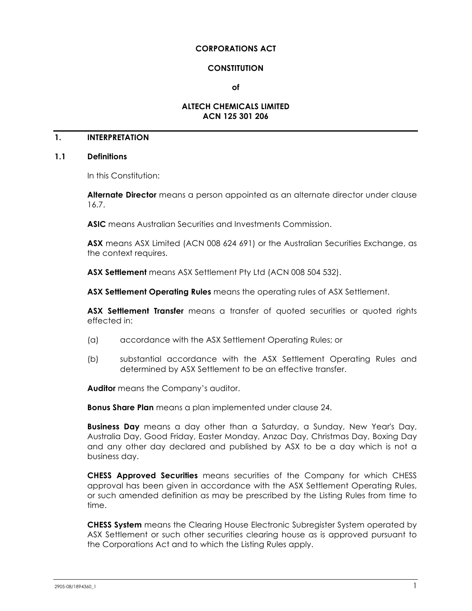#### **CORPORATIONS ACT**

#### **CONSTITUTION**

**of**

## **ALTECH CHEMICALS LIMITED ACN 125 301 206**

## **1. INTERPRETATION**

#### **1.1 Definitions**

In this Constitution:

**Alternate Director** means a person appointed as an alternate director under clause 16.7.

**ASIC** means Australian Securities and Investments Commission.

**ASX** means ASX Limited (ACN 008 624 691) or the Australian Securities Exchange, as the context requires.

**ASX Settlement** means ASX Settlement Pty Ltd (ACN 008 504 532).

**ASX Settlement Operating Rules** means the operating rules of ASX Settlement.

**ASX Settlement Transfer** means a transfer of quoted securities or quoted rights effected in:

- (a) accordance with the ASX Settlement Operating Rules; or
- (b) substantial accordance with the ASX Settlement Operating Rules and determined by ASX Settlement to be an effective transfer.

**Auditor** means the Company's auditor.

**Bonus Share Plan** means a plan implemented under clause 24.

**Business Day** means a day other than a Saturday, a Sunday, New Year's Day, Australia Day, Good Friday, Easter Monday, Anzac Day, Christmas Day, Boxing Day and any other day declared and published by ASX to be a day which is not a business day.

**CHESS Approved Securities** means securities of the Company for which CHESS approval has been given in accordance with the ASX Settlement Operating Rules, or such amended definition as may be prescribed by the Listing Rules from time to time.

**CHESS System** means the Clearing House Electronic Subregister System operated by ASX Settlement or such other securities clearing house as is approved pursuant to the Corporations Act and to which the Listing Rules apply.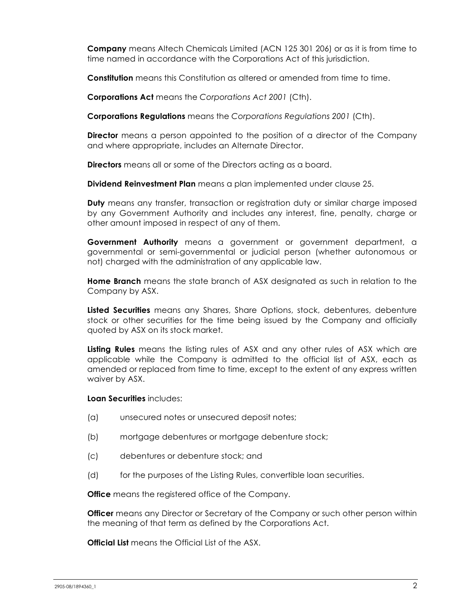**Company** means Altech Chemicals Limited (ACN 125 301 206) or as it is from time to time named in accordance with the Corporations Act of this jurisdiction.

**Constitution** means this Constitution as altered or amended from time to time.

**Corporations Act** means the *Corporations Act 2001* (Cth).

**Corporations Regulations** means the *Corporations Regulations 2001* (Cth).

**Director** means a person appointed to the position of a director of the Company and where appropriate, includes an Alternate Director.

**Directors** means all or some of the Directors acting as a board.

**Dividend Reinvestment Plan** means a plan implemented under clause 25.

**Duty** means any transfer, transaction or registration duty or similar charge imposed by any Government Authority and includes any interest, fine, penalty, charge or other amount imposed in respect of any of them.

**Government Authority** means a government or government department, a governmental or semi-governmental or judicial person (whether autonomous or not) charged with the administration of any applicable law.

**Home Branch** means the state branch of ASX designated as such in relation to the Company by ASX.

**Listed Securities** means any Shares, Share Options, stock, debentures, debenture stock or other securities for the time being issued by the Company and officially quoted by ASX on its stock market.

**Listing Rules** means the listing rules of ASX and any other rules of ASX which are applicable while the Company is admitted to the official list of ASX, each as amended or replaced from time to time, except to the extent of any express written waiver by ASX.

**Loan Securities** includes:

- (a) unsecured notes or unsecured deposit notes;
- (b) mortgage debentures or mortgage debenture stock;
- (c) debentures or debenture stock; and
- (d) for the purposes of the Listing Rules, convertible loan securities.

**Office** means the registered office of the Company.

**Officer** means any Director or Secretary of the Company or such other person within the meaning of that term as defined by the Corporations Act.

**Official List** means the Official List of the ASX.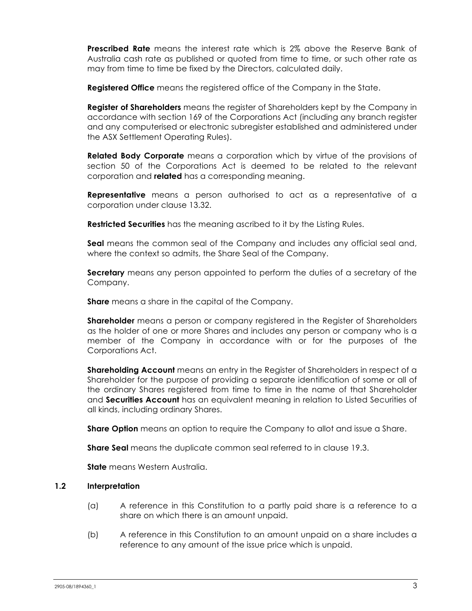**Prescribed Rate** means the interest rate which is 2% above the Reserve Bank of Australia cash rate as published or quoted from time to time, or such other rate as may from time to time be fixed by the Directors, calculated daily.

**Registered Office** means the registered office of the Company in the State.

**Register of Shareholders** means the register of Shareholders kept by the Company in accordance with section 169 of the Corporations Act (including any branch register and any computerised or electronic subregister established and administered under the ASX Settlement Operating Rules).

**Related Body Corporate** means a corporation which by virtue of the provisions of section 50 of the Corporations Act is deemed to be related to the relevant corporation and **related** has a corresponding meaning.

**Representative** means a person authorised to act as a representative of a corporation under clause 13.32.

**Restricted Securities** has the meaning ascribed to it by the Listing Rules.

**Seal** means the common seal of the Company and includes any official seal and, where the context so admits, the Share Seal of the Company.

**Secretary** means any person appointed to perform the duties of a secretary of the Company.

**Share** means a share in the capital of the Company.

**Shareholder** means a person or company registered in the Register of Shareholders as the holder of one or more Shares and includes any person or company who is a member of the Company in accordance with or for the purposes of the Corporations Act.

**Shareholding Account** means an entry in the Register of Shareholders in respect of a Shareholder for the purpose of providing a separate identification of some or all of the ordinary Shares registered from time to time in the name of that Shareholder and **Securities Account** has an equivalent meaning in relation to Listed Securities of all kinds, including ordinary Shares.

**Share Option** means an option to require the Company to allot and issue a Share.

**Share Seal** means the duplicate common seal referred to in clause 19.3.

**State** means Western Australia.

## **1.2 Interpretation**

- (a) A reference in this Constitution to a partly paid share is a reference to a share on which there is an amount unpaid.
- (b) A reference in this Constitution to an amount unpaid on a share includes a reference to any amount of the issue price which is unpaid.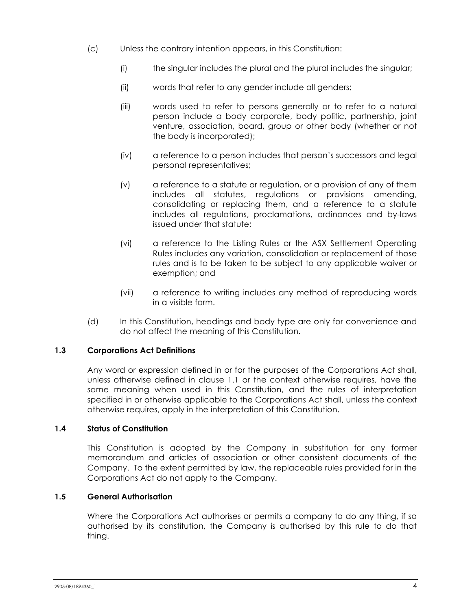- (c) Unless the contrary intention appears, in this Constitution:
	- (i) the singular includes the plural and the plural includes the singular;
	- (ii) words that refer to any gender include all genders;
	- (iii) words used to refer to persons generally or to refer to a natural person include a body corporate, body politic, partnership, joint venture, association, board, group or other body (whether or not the body is incorporated);
	- (iv) a reference to a person includes that person's successors and legal personal representatives;
	- (v) a reference to a statute or regulation, or a provision of any of them includes all statutes, regulations or provisions amending, consolidating or replacing them, and a reference to a statute includes all regulations, proclamations, ordinances and by-laws issued under that statute;
	- (vi) a reference to the Listing Rules or the ASX Settlement Operating Rules includes any variation, consolidation or replacement of those rules and is to be taken to be subject to any applicable waiver or exemption; and
	- (vii) a reference to writing includes any method of reproducing words in a visible form.
- (d) In this Constitution, headings and body type are only for convenience and do not affect the meaning of this Constitution.

#### **1.3 Corporations Act Definitions**

Any word or expression defined in or for the purposes of the Corporations Act shall, unless otherwise defined in clause 1.1 or the context otherwise requires, have the same meaning when used in this Constitution, and the rules of interpretation specified in or otherwise applicable to the Corporations Act shall, unless the context otherwise requires, apply in the interpretation of this Constitution.

## **1.4 Status of Constitution**

This Constitution is adopted by the Company in substitution for any former memorandum and articles of association or other consistent documents of the Company. To the extent permitted by law, the replaceable rules provided for in the Corporations Act do not apply to the Company.

## **1.5 General Authorisation**

Where the Corporations Act authorises or permits a company to do any thing, if so authorised by its constitution, the Company is authorised by this rule to do that thing.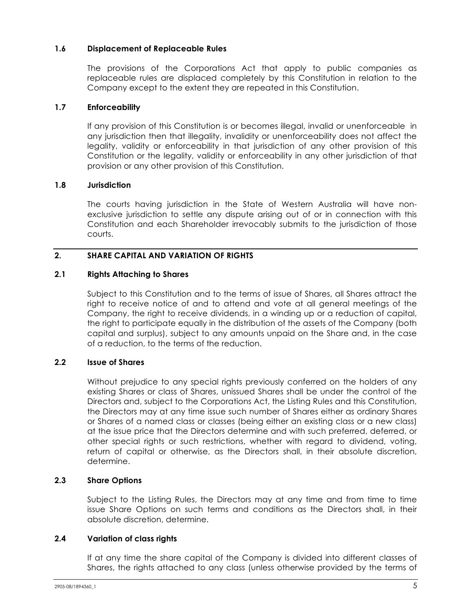## **1.6 Displacement of Replaceable Rules**

The provisions of the Corporations Act that apply to public companies as replaceable rules are displaced completely by this Constitution in relation to the Company except to the extent they are repeated in this Constitution.

#### **1.7 Enforceability**

If any provision of this Constitution is or becomes illegal, invalid or unenforceable in any jurisdiction then that illegality, invalidity or unenforceability does not affect the legality, validity or enforceability in that jurisdiction of any other provision of this Constitution or the legality, validity or enforceability in any other jurisdiction of that provision or any other provision of this Constitution.

## **1.8 Jurisdiction**

The courts having jurisdiction in the State of Western Australia will have nonexclusive jurisdiction to settle any dispute arising out of or in connection with this Constitution and each Shareholder irrevocably submits to the jurisdiction of those courts.

## **2. SHARE CAPITAL AND VARIATION OF RIGHTS**

## **2.1 Rights Attaching to Shares**

Subject to this Constitution and to the terms of issue of Shares, all Shares attract the right to receive notice of and to attend and vote at all general meetings of the Company, the right to receive dividends, in a winding up or a reduction of capital, the right to participate equally in the distribution of the assets of the Company (both capital and surplus), subject to any amounts unpaid on the Share and, in the case of a reduction, to the terms of the reduction.

## **2.2 Issue of Shares**

Without prejudice to any special rights previously conferred on the holders of any existing Shares or class of Shares, unissued Shares shall be under the control of the Directors and, subject to the Corporations Act, the Listing Rules and this Constitution, the Directors may at any time issue such number of Shares either as ordinary Shares or Shares of a named class or classes (being either an existing class or a new class) at the issue price that the Directors determine and with such preferred, deferred, or other special rights or such restrictions, whether with regard to dividend, voting, return of capital or otherwise, as the Directors shall, in their absolute discretion, determine.

## **2.3 Share Options**

Subject to the Listing Rules, the Directors may at any time and from time to time issue Share Options on such terms and conditions as the Directors shall, in their absolute discretion, determine.

#### **2.4 Variation of class rights**

If at any time the share capital of the Company is divided into different classes of Shares, the rights attached to any class (unless otherwise provided by the terms of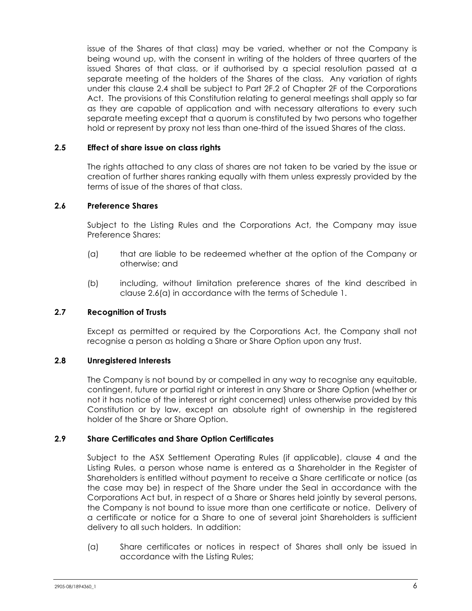issue of the Shares of that class) may be varied, whether or not the Company is being wound up, with the consent in writing of the holders of three quarters of the issued Shares of that class, or if authorised by a special resolution passed at a separate meeting of the holders of the Shares of the class. Any variation of rights under this clause 2.4 shall be subject to Part 2F.2 of Chapter 2F of the Corporations Act. The provisions of this Constitution relating to general meetings shall apply so far as they are capable of application and with necessary alterations to every such separate meeting except that a quorum is constituted by two persons who together hold or represent by proxy not less than one-third of the issued Shares of the class.

## **2.5 Effect of share issue on class rights**

The rights attached to any class of shares are not taken to be varied by the issue or creation of further shares ranking equally with them unless expressly provided by the terms of issue of the shares of that class.

## **2.6 Preference Shares**

Subject to the Listing Rules and the Corporations Act, the Company may issue Preference Shares:

- (a) that are liable to be redeemed whether at the option of the Company or otherwise; and
- (b) including, without limitation preference shares of the kind described in clause 2.6(a) in accordance with the terms of Schedule 1.

#### **2.7 Recognition of Trusts**

Except as permitted or required by the Corporations Act, the Company shall not recognise a person as holding a Share or Share Option upon any trust.

#### **2.8 Unregistered Interests**

The Company is not bound by or compelled in any way to recognise any equitable, contingent, future or partial right or interest in any Share or Share Option (whether or not it has notice of the interest or right concerned) unless otherwise provided by this Constitution or by law, except an absolute right of ownership in the registered holder of the Share or Share Option.

#### **2.9 Share Certificates and Share Option Certificates**

Subject to the ASX Settlement Operating Rules (if applicable), clause 4 and the Listing Rules, a person whose name is entered as a Shareholder in the Register of Shareholders is entitled without payment to receive a Share certificate or notice (as the case may be) in respect of the Share under the Seal in accordance with the Corporations Act but, in respect of a Share or Shares held jointly by several persons, the Company is not bound to issue more than one certificate or notice. Delivery of a certificate or notice for a Share to one of several joint Shareholders is sufficient delivery to all such holders. In addition:

(a) Share certificates or notices in respect of Shares shall only be issued in accordance with the Listing Rules;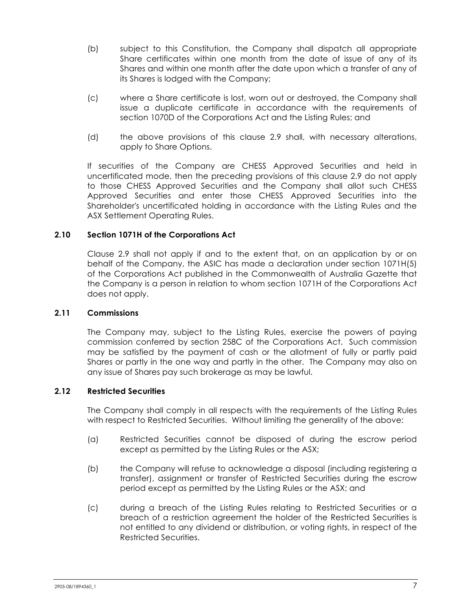- (b) subject to this Constitution, the Company shall dispatch all appropriate Share certificates within one month from the date of issue of any of its Shares and within one month after the date upon which a transfer of any of its Shares is lodged with the Company;
- (c) where a Share certificate is lost, worn out or destroyed, the Company shall issue a duplicate certificate in accordance with the requirements of section 1070D of the Corporations Act and the Listing Rules; and
- (d) the above provisions of this clause 2.9 shall, with necessary alterations, apply to Share Options.

If securities of the Company are CHESS Approved Securities and held in uncertificated mode, then the preceding provisions of this clause 2.9 do not apply to those CHESS Approved Securities and the Company shall allot such CHESS Approved Securities and enter those CHESS Approved Securities into the Shareholder's uncertificated holding in accordance with the Listing Rules and the ASX Settlement Operating Rules.

## **2.10 Section 1071H of the Corporations Act**

Clause 2.9 shall not apply if and to the extent that, on an application by or on behalf of the Company, the ASIC has made a declaration under section 1071H(5) of the Corporations Act published in the Commonwealth of Australia Gazette that the Company is a person in relation to whom section 1071H of the Corporations Act does not apply.

#### **2.11 Commissions**

The Company may, subject to the Listing Rules, exercise the powers of paying commission conferred by section 258C of the Corporations Act. Such commission may be satisfied by the payment of cash or the allotment of fully or partly paid Shares or partly in the one way and partly in the other. The Company may also on any issue of Shares pay such brokerage as may be lawful.

#### **2.12 Restricted Securities**

The Company shall comply in all respects with the requirements of the Listing Rules with respect to Restricted Securities. Without limiting the generality of the above:

- (a) Restricted Securities cannot be disposed of during the escrow period except as permitted by the Listing Rules or the ASX;
- (b) the Company will refuse to acknowledge a disposal (including registering a transfer), assignment or transfer of Restricted Securities during the escrow period except as permitted by the Listing Rules or the ASX; and
- (c) during a breach of the Listing Rules relating to Restricted Securities or a breach of a restriction agreement the holder of the Restricted Securities is not entitled to any dividend or distribution, or voting rights, in respect of the Restricted Securities.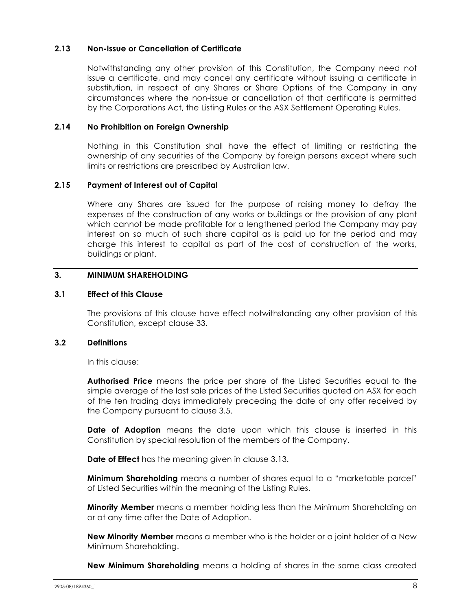#### **2.13 Non-Issue or Cancellation of Certificate**

Notwithstanding any other provision of this Constitution, the Company need not issue a certificate, and may cancel any certificate without issuing a certificate in substitution, in respect of any Shares or Share Options of the Company in any circumstances where the non-issue or cancellation of that certificate is permitted by the Corporations Act, the Listing Rules or the ASX Settlement Operating Rules.

#### **2.14 No Prohibition on Foreign Ownership**

Nothing in this Constitution shall have the effect of limiting or restricting the ownership of any securities of the Company by foreign persons except where such limits or restrictions are prescribed by Australian law.

## **2.15 Payment of Interest out of Capital**

Where any Shares are issued for the purpose of raising money to defray the expenses of the construction of any works or buildings or the provision of any plant which cannot be made profitable for a lengthened period the Company may pay interest on so much of such share capital as is paid up for the period and may charge this interest to capital as part of the cost of construction of the works, buildings or plant.

## **3. MINIMUM SHAREHOLDING**

#### **3.1 Effect of this Clause**

The provisions of this clause have effect notwithstanding any other provision of this Constitution, except clause 33.

#### **3.2 Definitions**

In this clause:

**Authorised Price** means the price per share of the Listed Securities equal to the simple average of the last sale prices of the Listed Securities quoted on ASX for each of the ten trading days immediately preceding the date of any offer received by the Company pursuant to clause 3.5.

**Date of Adoption** means the date upon which this clause is inserted in this Constitution by special resolution of the members of the Company.

**Date of Effect** has the meaning given in clause 3.13.

**Minimum Shareholding** means a number of shares equal to a "marketable parcel" of Listed Securities within the meaning of the Listing Rules.

**Minority Member** means a member holding less than the Minimum Shareholding on or at any time after the Date of Adoption.

**New Minority Member** means a member who is the holder or a joint holder of a New Minimum Shareholding.

**New Minimum Shareholding** means a holding of shares in the same class created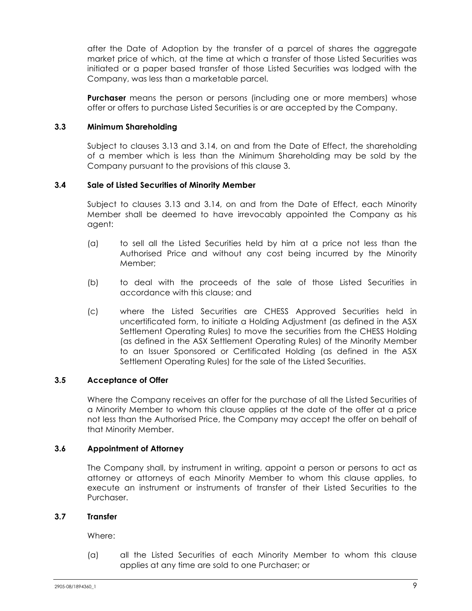after the Date of Adoption by the transfer of a parcel of shares the aggregate market price of which, at the time at which a transfer of those Listed Securities was initiated or a paper based transfer of those Listed Securities was lodged with the Company, was less than a marketable parcel.

**Purchaser** means the person or persons (including one or more members) whose offer or offers to purchase Listed Securities is or are accepted by the Company.

## **3.3 Minimum Shareholding**

Subject to clauses 3.13 and 3.14, on and from the Date of Effect, the shareholding of a member which is less than the Minimum Shareholding may be sold by the Company pursuant to the provisions of this clause 3.

## **3.4 Sale of Listed Securities of Minority Member**

Subject to clauses 3.13 and 3.14, on and from the Date of Effect, each Minority Member shall be deemed to have irrevocably appointed the Company as his agent:

- (a) to sell all the Listed Securities held by him at a price not less than the Authorised Price and without any cost being incurred by the Minority Member;
- (b) to deal with the proceeds of the sale of those Listed Securities in accordance with this clause; and
- (c) where the Listed Securities are CHESS Approved Securities held in uncertificated form, to initiate a Holding Adjustment (as defined in the ASX Settlement Operating Rules) to move the securities from the CHESS Holding (as defined in the ASX Settlement Operating Rules) of the Minority Member to an Issuer Sponsored or Certificated Holding (as defined in the ASX Settlement Operating Rules) for the sale of the Listed Securities.

#### **3.5 Acceptance of Offer**

Where the Company receives an offer for the purchase of all the Listed Securities of a Minority Member to whom this clause applies at the date of the offer at a price not less than the Authorised Price, the Company may accept the offer on behalf of that Minority Member.

#### **3.6 Appointment of Attorney**

The Company shall, by instrument in writing, appoint a person or persons to act as attorney or attorneys of each Minority Member to whom this clause applies, to execute an instrument or instruments of transfer of their Listed Securities to the Purchaser.

#### **3.7 Transfer**

Where:

(a) all the Listed Securities of each Minority Member to whom this clause applies at any time are sold to one Purchaser; or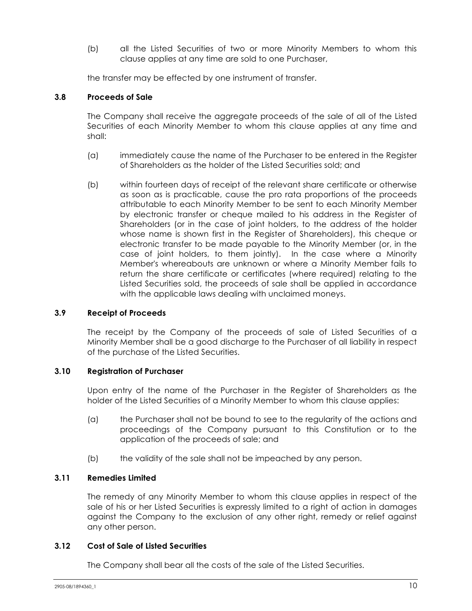(b) all the Listed Securities of two or more Minority Members to whom this clause applies at any time are sold to one Purchaser,

the transfer may be effected by one instrument of transfer.

## **3.8 Proceeds of Sale**

The Company shall receive the aggregate proceeds of the sale of all of the Listed Securities of each Minority Member to whom this clause applies at any time and shall:

- (a) immediately cause the name of the Purchaser to be entered in the Register of Shareholders as the holder of the Listed Securities sold; and
- (b) within fourteen days of receipt of the relevant share certificate or otherwise as soon as is practicable, cause the pro rata proportions of the proceeds attributable to each Minority Member to be sent to each Minority Member by electronic transfer or cheque mailed to his address in the Register of Shareholders (or in the case of joint holders, to the address of the holder whose name is shown first in the Register of Shareholders), this cheque or electronic transfer to be made payable to the Minority Member (or, in the case of joint holders, to them jointly). In the case where a Minority Member's whereabouts are unknown or where a Minority Member fails to return the share certificate or certificates (where required) relating to the Listed Securities sold, the proceeds of sale shall be applied in accordance with the applicable laws dealing with unclaimed moneys.

#### **3.9 Receipt of Proceeds**

The receipt by the Company of the proceeds of sale of Listed Securities of a Minority Member shall be a good discharge to the Purchaser of all liability in respect of the purchase of the Listed Securities.

#### **3.10 Registration of Purchaser**

Upon entry of the name of the Purchaser in the Register of Shareholders as the holder of the Listed Securities of a Minority Member to whom this clause applies:

- (a) the Purchaser shall not be bound to see to the regularity of the actions and proceedings of the Company pursuant to this Constitution or to the application of the proceeds of sale; and
- (b) the validity of the sale shall not be impeached by any person.

## **3.11 Remedies Limited**

The remedy of any Minority Member to whom this clause applies in respect of the sale of his or her Listed Securities is expressly limited to a right of action in damages against the Company to the exclusion of any other right, remedy or relief against any other person.

#### **3.12 Cost of Sale of Listed Securities**

The Company shall bear all the costs of the sale of the Listed Securities.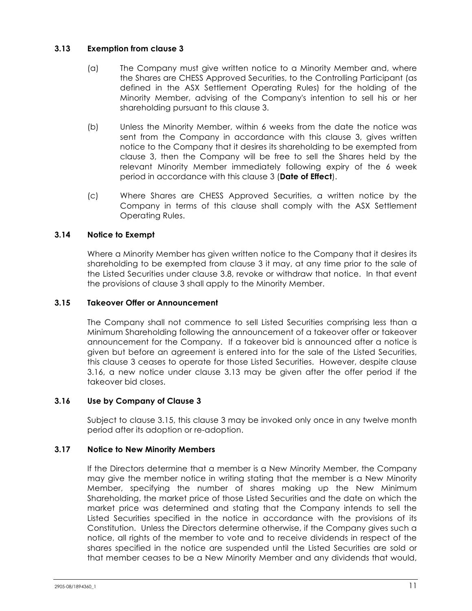## **3.13 Exemption from clause 3**

- (a) The Company must give written notice to a Minority Member and, where the Shares are CHESS Approved Securities, to the Controlling Participant (as defined in the ASX Settlement Operating Rules) for the holding of the Minority Member, advising of the Company's intention to sell his or her shareholding pursuant to this clause 3.
- (b) Unless the Minority Member, within 6 weeks from the date the notice was sent from the Company in accordance with this clause 3, gives written notice to the Company that it desires its shareholding to be exempted from clause 3, then the Company will be free to sell the Shares held by the relevant Minority Member immediately following expiry of the 6 week period in accordance with this clause 3 (**Date of Effect**).
- (c) Where Shares are CHESS Approved Securities, a written notice by the Company in terms of this clause shall comply with the ASX Settlement Operating Rules.

## **3.14 Notice to Exempt**

Where a Minority Member has given written notice to the Company that it desires its shareholding to be exempted from clause 3 it may, at any time prior to the sale of the Listed Securities under clause 3.8, revoke or withdraw that notice. In that event the provisions of clause 3 shall apply to the Minority Member.

## **3.15 Takeover Offer or Announcement**

The Company shall not commence to sell Listed Securities comprising less than a Minimum Shareholding following the announcement of a takeover offer or takeover announcement for the Company. If a takeover bid is announced after a notice is given but before an agreement is entered into for the sale of the Listed Securities, this clause 3 ceases to operate for those Listed Securities. However, despite clause 3.16, a new notice under clause 3.13 may be given after the offer period if the takeover bid closes.

## **3.16 Use by Company of Clause 3**

Subject to clause 3.15, this clause 3 may be invoked only once in any twelve month period after its adoption or re-adoption.

## **3.17 Notice to New Minority Members**

If the Directors determine that a member is a New Minority Member, the Company may give the member notice in writing stating that the member is a New Minority Member, specifying the number of shares making up the New Minimum Shareholding, the market price of those Listed Securities and the date on which the market price was determined and stating that the Company intends to sell the Listed Securities specified in the notice in accordance with the provisions of its Constitution. Unless the Directors determine otherwise, if the Company gives such a notice, all rights of the member to vote and to receive dividends in respect of the shares specified in the notice are suspended until the Listed Securities are sold or that member ceases to be a New Minority Member and any dividends that would,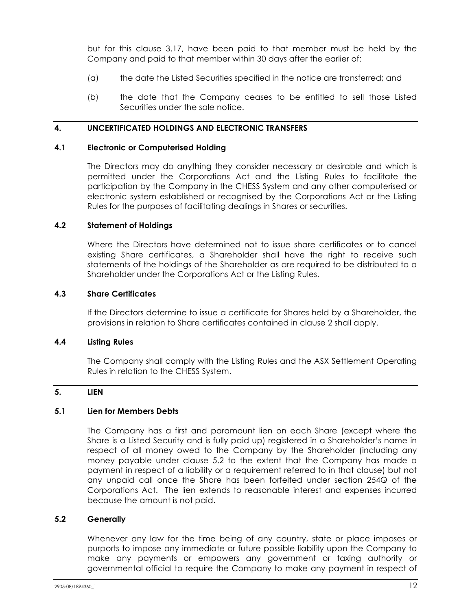but for this clause 3.17, have been paid to that member must be held by the Company and paid to that member within 30 days after the earlier of:

- (a) the date the Listed Securities specified in the notice are transferred; and
- (b) the date that the Company ceases to be entitled to sell those Listed Securities under the sale notice.

#### **4. UNCERTIFICATED HOLDINGS AND ELECTRONIC TRANSFERS**

#### **4.1 Electronic or Computerised Holding**

The Directors may do anything they consider necessary or desirable and which is permitted under the Corporations Act and the Listing Rules to facilitate the participation by the Company in the CHESS System and any other computerised or electronic system established or recognised by the Corporations Act or the Listing Rules for the purposes of facilitating dealings in Shares or securities.

#### **4.2 Statement of Holdings**

Where the Directors have determined not to issue share certificates or to cancel existing Share certificates, a Shareholder shall have the right to receive such statements of the holdings of the Shareholder as are required to be distributed to a Shareholder under the Corporations Act or the Listing Rules.

#### **4.3 Share Certificates**

If the Directors determine to issue a certificate for Shares held by a Shareholder, the provisions in relation to Share certificates contained in clause 2 shall apply.

#### **4.4 Listing Rules**

The Company shall comply with the Listing Rules and the ASX Settlement Operating Rules in relation to the CHESS System.

## **5. LIEN**

#### **5.1 Lien for Members Debts**

The Company has a first and paramount lien on each Share (except where the Share is a Listed Security and is fully paid up) registered in a Shareholder's name in respect of all money owed to the Company by the Shareholder (including any money payable under clause 5.2 to the extent that the Company has made a payment in respect of a liability or a requirement referred to in that clause) but not any unpaid call once the Share has been forfeited under section 254Q of the Corporations Act. The lien extends to reasonable interest and expenses incurred because the amount is not paid.

#### **5.2 Generally**

Whenever any law for the time being of any country, state or place imposes or purports to impose any immediate or future possible liability upon the Company to make any payments or empowers any government or taxing authority or governmental official to require the Company to make any payment in respect of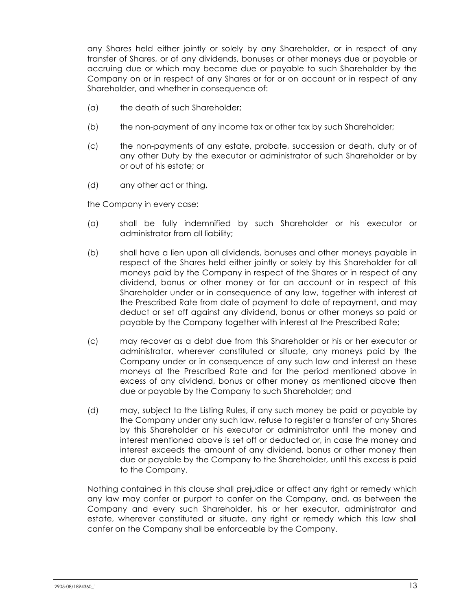any Shares held either jointly or solely by any Shareholder, or in respect of any transfer of Shares, or of any dividends, bonuses or other moneys due or payable or accruing due or which may become due or payable to such Shareholder by the Company on or in respect of any Shares or for or on account or in respect of any Shareholder, and whether in consequence of:

- (a) the death of such Shareholder;
- (b) the non-payment of any income tax or other tax by such Shareholder;
- (c) the non-payments of any estate, probate, succession or death, duty or of any other Duty by the executor or administrator of such Shareholder or by or out of his estate; or
- (d) any other act or thing,

the Company in every case:

- (a) shall be fully indemnified by such Shareholder or his executor or administrator from all liability;
- (b) shall have a lien upon all dividends, bonuses and other moneys payable in respect of the Shares held either jointly or solely by this Shareholder for all moneys paid by the Company in respect of the Shares or in respect of any dividend, bonus or other money or for an account or in respect of this Shareholder under or in consequence of any law, together with interest at the Prescribed Rate from date of payment to date of repayment, and may deduct or set off against any dividend, bonus or other moneys so paid or payable by the Company together with interest at the Prescribed Rate;
- (c) may recover as a debt due from this Shareholder or his or her executor or administrator, wherever constituted or situate, any moneys paid by the Company under or in consequence of any such law and interest on these moneys at the Prescribed Rate and for the period mentioned above in excess of any dividend, bonus or other money as mentioned above then due or payable by the Company to such Shareholder; and
- (d) may, subject to the Listing Rules, if any such money be paid or payable by the Company under any such law, refuse to register a transfer of any Shares by this Shareholder or his executor or administrator until the money and interest mentioned above is set off or deducted or, in case the money and interest exceeds the amount of any dividend, bonus or other money then due or payable by the Company to the Shareholder, until this excess is paid to the Company.

Nothing contained in this clause shall prejudice or affect any right or remedy which any law may confer or purport to confer on the Company, and, as between the Company and every such Shareholder, his or her executor, administrator and estate, wherever constituted or situate, any right or remedy which this law shall confer on the Company shall be enforceable by the Company.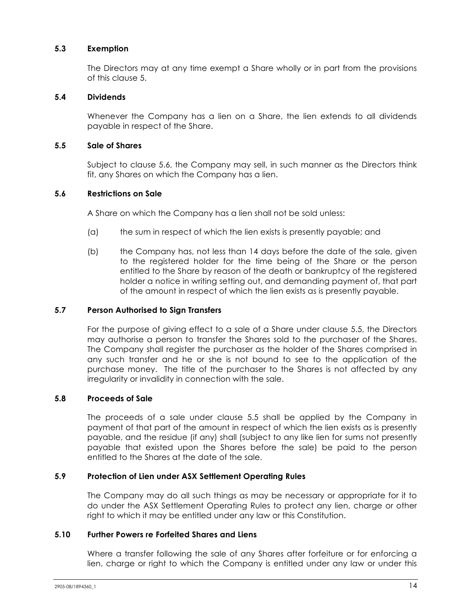## **5.3 Exemption**

The Directors may at any time exempt a Share wholly or in part from the provisions of this clause 5.

#### **5.4 Dividends**

Whenever the Company has a lien on a Share, the lien extends to all dividends payable in respect of the Share.

#### **5.5 Sale of Shares**

Subject to clause 5.6, the Company may sell, in such manner as the Directors think fit, any Shares on which the Company has a lien.

## **5.6 Restrictions on Sale**

A Share on which the Company has a lien shall not be sold unless:

- (a) the sum in respect of which the lien exists is presently payable; and
- (b) the Company has, not less than 14 days before the date of the sale, given to the registered holder for the time being of the Share or the person entitled to the Share by reason of the death or bankruptcy of the registered holder a notice in writing setting out, and demanding payment of, that part of the amount in respect of which the lien exists as is presently payable.

## **5.7 Person Authorised to Sign Transfers**

For the purpose of giving effect to a sale of a Share under clause 5.5, the Directors may authorise a person to transfer the Shares sold to the purchaser of the Shares. The Company shall register the purchaser as the holder of the Shares comprised in any such transfer and he or she is not bound to see to the application of the purchase money. The title of the purchaser to the Shares is not affected by any irregularity or invalidity in connection with the sale.

#### **5.8 Proceeds of Sale**

The proceeds of a sale under clause 5.5 shall be applied by the Company in payment of that part of the amount in respect of which the lien exists as is presently payable, and the residue (if any) shall (subject to any like lien for sums not presently payable that existed upon the Shares before the sale) be paid to the person entitled to the Shares at the date of the sale.

#### **5.9 Protection of Lien under ASX Settlement Operating Rules**

The Company may do all such things as may be necessary or appropriate for it to do under the ASX Settlement Operating Rules to protect any lien, charge or other right to which it may be entitled under any law or this Constitution.

#### **5.10 Further Powers re Forfeited Shares and Liens**

Where a transfer following the sale of any Shares after forfeiture or for enforcing a lien, charge or right to which the Company is entitled under any law or under this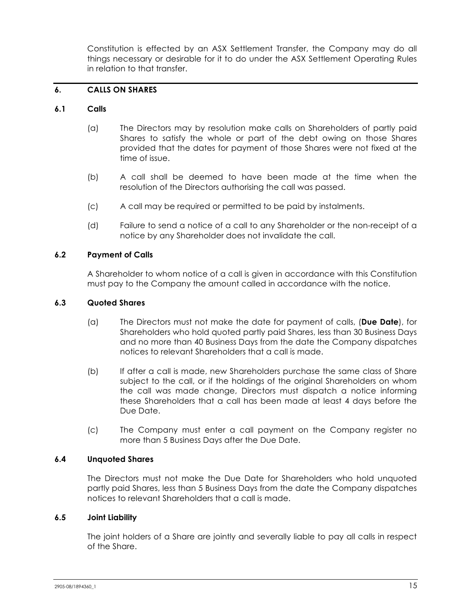Constitution is effected by an ASX Settlement Transfer, the Company may do all things necessary or desirable for it to do under the ASX Settlement Operating Rules in relation to that transfer.

## **6. CALLS ON SHARES**

#### **6.1 Calls**

- (a) The Directors may by resolution make calls on Shareholders of partly paid Shares to satisfy the whole or part of the debt owing on those Shares provided that the dates for payment of those Shares were not fixed at the time of issue.
- (b) A call shall be deemed to have been made at the time when the resolution of the Directors authorising the call was passed.
- (c) A call may be required or permitted to be paid by instalments.
- (d) Failure to send a notice of a call to any Shareholder or the non-receipt of a notice by any Shareholder does not invalidate the call.

#### **6.2 Payment of Calls**

A Shareholder to whom notice of a call is given in accordance with this Constitution must pay to the Company the amount called in accordance with the notice.

#### **6.3 Quoted Shares**

- (a) The Directors must not make the date for payment of calls, (**Due Date**), for Shareholders who hold quoted partly paid Shares, less than 30 Business Days and no more than 40 Business Days from the date the Company dispatches notices to relevant Shareholders that a call is made.
- (b) If after a call is made, new Shareholders purchase the same class of Share subject to the call, or if the holdings of the original Shareholders on whom the call was made change, Directors must dispatch a notice informing these Shareholders that a call has been made at least 4 days before the Due Date.
- (c) The Company must enter a call payment on the Company register no more than 5 Business Days after the Due Date.

#### **6.4 Unquoted Shares**

The Directors must not make the Due Date for Shareholders who hold unquoted partly paid Shares, less than 5 Business Days from the date the Company dispatches notices to relevant Shareholders that a call is made.

#### **6.5 Joint Liability**

The joint holders of a Share are jointly and severally liable to pay all calls in respect of the Share.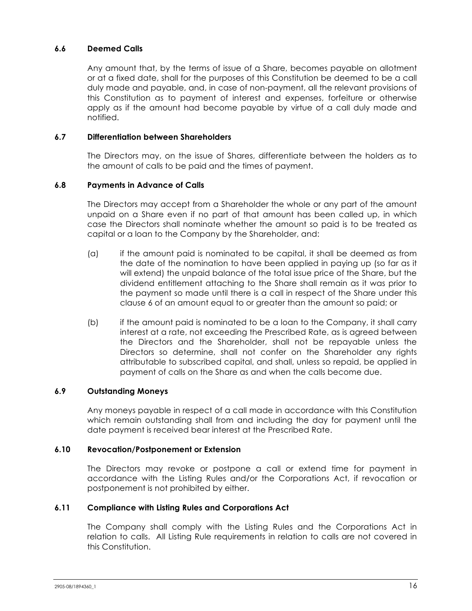## **6.6 Deemed Calls**

Any amount that, by the terms of issue of a Share, becomes payable on allotment or at a fixed date, shall for the purposes of this Constitution be deemed to be a call duly made and payable, and, in case of non-payment, all the relevant provisions of this Constitution as to payment of interest and expenses, forfeiture or otherwise apply as if the amount had become payable by virtue of a call duly made and notified.

#### **6.7 Differentiation between Shareholders**

The Directors may, on the issue of Shares, differentiate between the holders as to the amount of calls to be paid and the times of payment.

## **6.8 Payments in Advance of Calls**

The Directors may accept from a Shareholder the whole or any part of the amount unpaid on a Share even if no part of that amount has been called up, in which case the Directors shall nominate whether the amount so paid is to be treated as capital or a loan to the Company by the Shareholder, and:

- (a) if the amount paid is nominated to be capital, it shall be deemed as from the date of the nomination to have been applied in paying up (so far as it will extend) the unpaid balance of the total issue price of the Share, but the dividend entitlement attaching to the Share shall remain as it was prior to the payment so made until there is a call in respect of the Share under this clause 6 of an amount equal to or greater than the amount so paid; or
- (b) if the amount paid is nominated to be a loan to the Company, it shall carry interest at a rate, not exceeding the Prescribed Rate, as is agreed between the Directors and the Shareholder, shall not be repayable unless the Directors so determine, shall not confer on the Shareholder any rights attributable to subscribed capital, and shall, unless so repaid, be applied in payment of calls on the Share as and when the calls become due.

#### **6.9 Outstanding Moneys**

Any moneys payable in respect of a call made in accordance with this Constitution which remain outstanding shall from and including the day for payment until the date payment is received bear interest at the Prescribed Rate.

#### **6.10 Revocation/Postponement or Extension**

The Directors may revoke or postpone a call or extend time for payment in accordance with the Listing Rules and/or the Corporations Act, if revocation or postponement is not prohibited by either.

## **6.11 Compliance with Listing Rules and Corporations Act**

The Company shall comply with the Listing Rules and the Corporations Act in relation to calls. All Listing Rule requirements in relation to calls are not covered in this Constitution.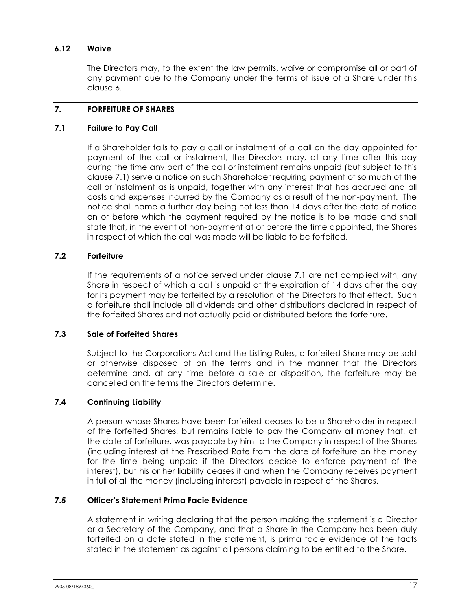## **6.12 Waive**

The Directors may, to the extent the law permits, waive or compromise all or part of any payment due to the Company under the terms of issue of a Share under this clause 6.

## **7. FORFEITURE OF SHARES**

#### **7.1 Failure to Pay Call**

If a Shareholder fails to pay a call or instalment of a call on the day appointed for payment of the call or instalment, the Directors may, at any time after this day during the time any part of the call or instalment remains unpaid (but subject to this clause 7.1) serve a notice on such Shareholder requiring payment of so much of the call or instalment as is unpaid, together with any interest that has accrued and all costs and expenses incurred by the Company as a result of the non-payment. The notice shall name a further day being not less than 14 days after the date of notice on or before which the payment required by the notice is to be made and shall state that, in the event of non-payment at or before the time appointed, the Shares in respect of which the call was made will be liable to be forfeited.

## **7.2 Forfeiture**

If the requirements of a notice served under clause 7.1 are not complied with, any Share in respect of which a call is unpaid at the expiration of 14 days after the day for its payment may be forfeited by a resolution of the Directors to that effect. Such a forfeiture shall include all dividends and other distributions declared in respect of the forfeited Shares and not actually paid or distributed before the forfeiture.

#### **7.3 Sale of Forfeited Shares**

Subject to the Corporations Act and the Listing Rules, a forfeited Share may be sold or otherwise disposed of on the terms and in the manner that the Directors determine and, at any time before a sale or disposition, the forfeiture may be cancelled on the terms the Directors determine.

#### **7.4 Continuing Liability**

A person whose Shares have been forfeited ceases to be a Shareholder in respect of the forfeited Shares, but remains liable to pay the Company all money that, at the date of forfeiture, was payable by him to the Company in respect of the Shares (including interest at the Prescribed Rate from the date of forfeiture on the money for the time being unpaid if the Directors decide to enforce payment of the interest), but his or her liability ceases if and when the Company receives payment in full of all the money (including interest) payable in respect of the Shares.

#### **7.5 Officer's Statement Prima Facie Evidence**

A statement in writing declaring that the person making the statement is a Director or a Secretary of the Company, and that a Share in the Company has been duly forfeited on a date stated in the statement, is prima facie evidence of the facts stated in the statement as against all persons claiming to be entitled to the Share.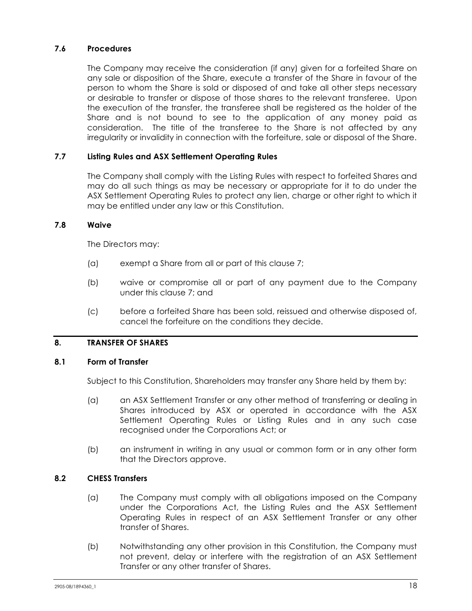## **7.6 Procedures**

The Company may receive the consideration (if any) given for a forfeited Share on any sale or disposition of the Share, execute a transfer of the Share in favour of the person to whom the Share is sold or disposed of and take all other steps necessary or desirable to transfer or dispose of those shares to the relevant transferee. Upon the execution of the transfer, the transferee shall be registered as the holder of the Share and is not bound to see to the application of any money paid as consideration. The title of the transferee to the Share is not affected by any irregularity or invalidity in connection with the forfeiture, sale or disposal of the Share.

## **7.7 Listing Rules and ASX Settlement Operating Rules**

The Company shall comply with the Listing Rules with respect to forfeited Shares and may do all such things as may be necessary or appropriate for it to do under the ASX Settlement Operating Rules to protect any lien, charge or other right to which it may be entitled under any law or this Constitution.

#### **7.8 Waive**

The Directors may:

- (a) exempt a Share from all or part of this clause 7;
- (b) waive or compromise all or part of any payment due to the Company under this clause 7; and
- (c) before a forfeited Share has been sold, reissued and otherwise disposed of, cancel the forfeiture on the conditions they decide.

#### **8. TRANSFER OF SHARES**

#### **8.1 Form of Transfer**

Subject to this Constitution, Shareholders may transfer any Share held by them by:

- (a) an ASX Settlement Transfer or any other method of transferring or dealing in Shares introduced by ASX or operated in accordance with the ASX Settlement Operating Rules or Listing Rules and in any such case recognised under the Corporations Act; or
- (b) an instrument in writing in any usual or common form or in any other form that the Directors approve.

#### **8.2 CHESS Transfers**

- (a) The Company must comply with all obligations imposed on the Company under the Corporations Act, the Listing Rules and the ASX Settlement Operating Rules in respect of an ASX Settlement Transfer or any other transfer of Shares.
- (b) Notwithstanding any other provision in this Constitution, the Company must not prevent, delay or interfere with the registration of an ASX Settlement Transfer or any other transfer of Shares.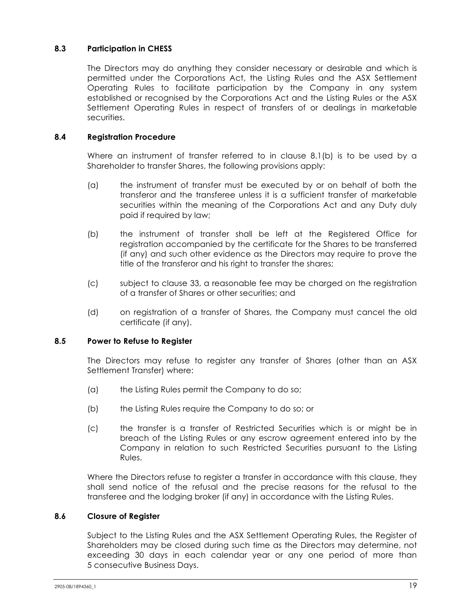## **8.3 Participation in CHESS**

The Directors may do anything they consider necessary or desirable and which is permitted under the Corporations Act, the Listing Rules and the ASX Settlement Operating Rules to facilitate participation by the Company in any system established or recognised by the Corporations Act and the Listing Rules or the ASX Settlement Operating Rules in respect of transfers of or dealings in marketable securities.

## **8.4 Registration Procedure**

Where an instrument of transfer referred to in clause 8.1(b) is to be used by a Shareholder to transfer Shares, the following provisions apply:

- (a) the instrument of transfer must be executed by or on behalf of both the transferor and the transferee unless it is a sufficient transfer of marketable securities within the meaning of the Corporations Act and any Duty duly paid if required by law;
- (b) the instrument of transfer shall be left at the Registered Office for registration accompanied by the certificate for the Shares to be transferred (if any) and such other evidence as the Directors may require to prove the title of the transferor and his right to transfer the shares;
- (c) subject to clause 33, a reasonable fee may be charged on the registration of a transfer of Shares or other securities; and
- (d) on registration of a transfer of Shares, the Company must cancel the old certificate (if any).

#### **8.5 Power to Refuse to Register**

The Directors may refuse to register any transfer of Shares (other than an ASX Settlement Transfer) where:

- (a) the Listing Rules permit the Company to do so;
- (b) the Listing Rules require the Company to do so; or
- (c) the transfer is a transfer of Restricted Securities which is or might be in breach of the Listing Rules or any escrow agreement entered into by the Company in relation to such Restricted Securities pursuant to the Listing Rules.

Where the Directors refuse to register a transfer in accordance with this clause, they shall send notice of the refusal and the precise reasons for the refusal to the transferee and the lodging broker (if any) in accordance with the Listing Rules.

## **8.6 Closure of Register**

Subject to the Listing Rules and the ASX Settlement Operating Rules, the Register of Shareholders may be closed during such time as the Directors may determine, not exceeding 30 days in each calendar year or any one period of more than 5 consecutive Business Days.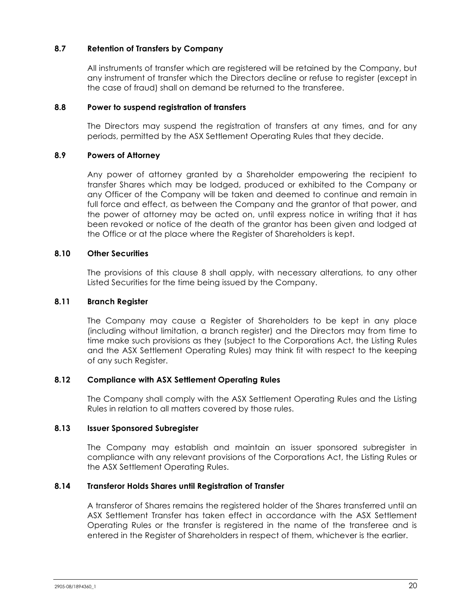## **8.7 Retention of Transfers by Company**

All instruments of transfer which are registered will be retained by the Company, but any instrument of transfer which the Directors decline or refuse to register (except in the case of fraud) shall on demand be returned to the transferee.

#### **8.8 Power to suspend registration of transfers**

The Directors may suspend the registration of transfers at any times, and for any periods, permitted by the ASX Settlement Operating Rules that they decide.

## **8.9 Powers of Attorney**

Any power of attorney granted by a Shareholder empowering the recipient to transfer Shares which may be lodged, produced or exhibited to the Company or any Officer of the Company will be taken and deemed to continue and remain in full force and effect, as between the Company and the grantor of that power, and the power of attorney may be acted on, until express notice in writing that it has been revoked or notice of the death of the grantor has been given and lodged at the Office or at the place where the Register of Shareholders is kept.

#### **8.10 Other Securities**

The provisions of this clause 8 shall apply, with necessary alterations, to any other Listed Securities for the time being issued by the Company.

## **8.11 Branch Register**

The Company may cause a Register of Shareholders to be kept in any place (including without limitation, a branch register) and the Directors may from time to time make such provisions as they (subject to the Corporations Act, the Listing Rules and the ASX Settlement Operating Rules) may think fit with respect to the keeping of any such Register.

#### **8.12 Compliance with ASX Settlement Operating Rules**

The Company shall comply with the ASX Settlement Operating Rules and the Listing Rules in relation to all matters covered by those rules.

#### **8.13 Issuer Sponsored Subregister**

The Company may establish and maintain an issuer sponsored subregister in compliance with any relevant provisions of the Corporations Act, the Listing Rules or the ASX Settlement Operating Rules.

#### **8.14 Transferor Holds Shares until Registration of Transfer**

A transferor of Shares remains the registered holder of the Shares transferred until an ASX Settlement Transfer has taken effect in accordance with the ASX Settlement Operating Rules or the transfer is registered in the name of the transferee and is entered in the Register of Shareholders in respect of them, whichever is the earlier.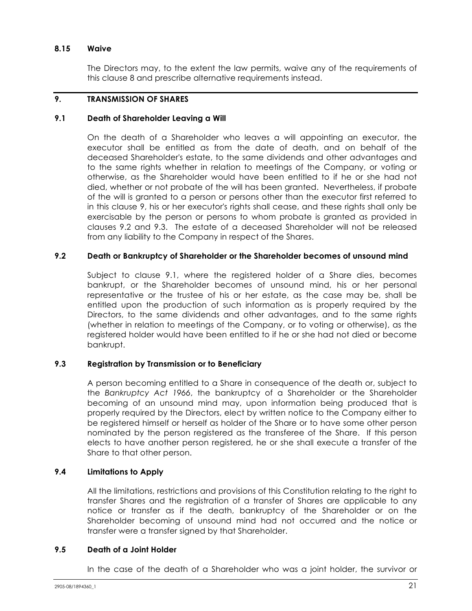#### **8.15 Waive**

The Directors may, to the extent the law permits, waive any of the requirements of this clause 8 and prescribe alternative requirements instead.

## **9. TRANSMISSION OF SHARES**

#### **9.1 Death of Shareholder Leaving a Will**

On the death of a Shareholder who leaves a will appointing an executor, the executor shall be entitled as from the date of death, and on behalf of the deceased Shareholder's estate, to the same dividends and other advantages and to the same rights whether in relation to meetings of the Company, or voting or otherwise, as the Shareholder would have been entitled to if he or she had not died, whether or not probate of the will has been granted. Nevertheless, if probate of the will is granted to a person or persons other than the executor first referred to in this clause 9, his or her executor's rights shall cease, and these rights shall only be exercisable by the person or persons to whom probate is granted as provided in clauses 9.2 and 9.3. The estate of a deceased Shareholder will not be released from any liability to the Company in respect of the Shares.

#### **9.2 Death or Bankruptcy of Shareholder or the Shareholder becomes of unsound mind**

Subject to clause 9.1, where the registered holder of a Share dies, becomes bankrupt, or the Shareholder becomes of unsound mind, his or her personal representative or the trustee of his or her estate, as the case may be, shall be entitled upon the production of such information as is properly required by the Directors, to the same dividends and other advantages, and to the same rights (whether in relation to meetings of the Company, or to voting or otherwise), as the registered holder would have been entitled to if he or she had not died or become bankrupt.

#### **9.3 Registration by Transmission or to Beneficiary**

A person becoming entitled to a Share in consequence of the death or, subject to the *Bankruptcy Act 1966*, the bankruptcy of a Shareholder or the Shareholder becoming of an unsound mind may, upon information being produced that is properly required by the Directors, elect by written notice to the Company either to be registered himself or herself as holder of the Share or to have some other person nominated by the person registered as the transferee of the Share. If this person elects to have another person registered, he or she shall execute a transfer of the Share to that other person.

## **9.4 Limitations to Apply**

All the limitations, restrictions and provisions of this Constitution relating to the right to transfer Shares and the registration of a transfer of Shares are applicable to any notice or transfer as if the death, bankruptcy of the Shareholder or on the Shareholder becoming of unsound mind had not occurred and the notice or transfer were a transfer signed by that Shareholder.

#### **9.5 Death of a Joint Holder**

In the case of the death of a Shareholder who was a joint holder, the survivor or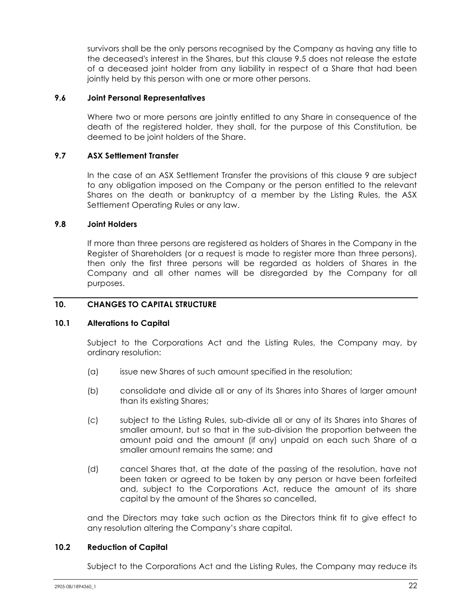survivors shall be the only persons recognised by the Company as having any title to the deceased's interest in the Shares, but this clause 9.5 does not release the estate of a deceased joint holder from any liability in respect of a Share that had been jointly held by this person with one or more other persons.

#### **9.6 Joint Personal Representatives**

Where two or more persons are jointly entitled to any Share in consequence of the death of the registered holder, they shall, for the purpose of this Constitution, be deemed to be joint holders of the Share.

## **9.7 ASX Settlement Transfer**

In the case of an ASX Settlement Transfer the provisions of this clause 9 are subject to any obligation imposed on the Company or the person entitled to the relevant Shares on the death or bankruptcy of a member by the Listing Rules, the ASX Settlement Operating Rules or any law.

#### **9.8 Joint Holders**

If more than three persons are registered as holders of Shares in the Company in the Register of Shareholders (or a request is made to register more than three persons), then only the first three persons will be regarded as holders of Shares in the Company and all other names will be disregarded by the Company for all purposes.

## **10. CHANGES TO CAPITAL STRUCTURE**

#### **10.1 Alterations to Capital**

Subject to the Corporations Act and the Listing Rules, the Company may, by ordinary resolution:

- (a) issue new Shares of such amount specified in the resolution;
- (b) consolidate and divide all or any of its Shares into Shares of larger amount than its existing Shares;
- (c) subject to the Listing Rules, sub-divide all or any of its Shares into Shares of smaller amount, but so that in the sub-division the proportion between the amount paid and the amount (if any) unpaid on each such Share of a smaller amount remains the same; and
- (d) cancel Shares that, at the date of the passing of the resolution, have not been taken or agreed to be taken by any person or have been forfeited and, subject to the Corporations Act, reduce the amount of its share capital by the amount of the Shares so cancelled,

and the Directors may take such action as the Directors think fit to give effect to any resolution altering the Company's share capital.

#### **10.2 Reduction of Capital**

Subject to the Corporations Act and the Listing Rules, the Company may reduce its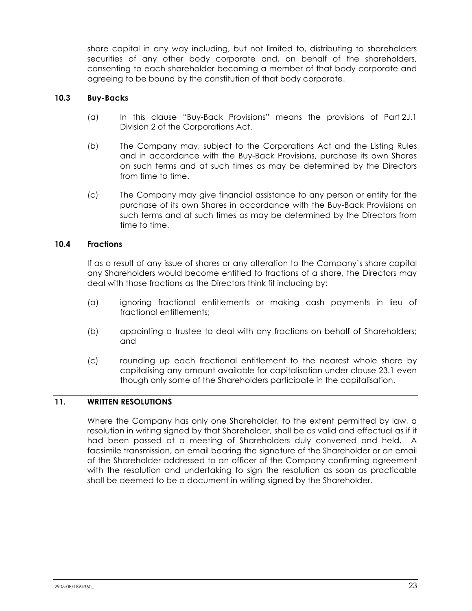share capital in any way including, but not limited to, distributing to shareholders securities of any other body corporate and, on behalf of the shareholders, consenting to each shareholder becoming a member of that body corporate and agreeing to be bound by the constitution of that body corporate.

## **10.3 Buy-Backs**

- (a) In this clause "Buy-Back Provisions" means the provisions of Part 2J.1 Division 2 of the Corporations Act.
- (b) The Company may, subject to the Corporations Act and the Listing Rules and in accordance with the Buy-Back Provisions, purchase its own Shares on such terms and at such times as may be determined by the Directors from time to time.
- (c) The Company may give financial assistance to any person or entity for the purchase of its own Shares in accordance with the Buy-Back Provisions on such terms and at such times as may be determined by the Directors from time to time.

## **10.4 Fractions**

If as a result of any issue of shares or any alteration to the Company's share capital any Shareholders would become entitled to fractions of a share, the Directors may deal with those fractions as the Directors think fit including by:

- (a) ignoring fractional entitlements or making cash payments in lieu of fractional entitlements;
- (b) appointing a trustee to deal with any fractions on behalf of Shareholders; and
- (c) rounding up each fractional entitlement to the nearest whole share by capitalising any amount available for capitalisation under clause 23.1 even though only some of the Shareholders participate in the capitalisation.

#### **11. WRITTEN RESOLUTIONS**

Where the Company has only one Shareholder, to the extent permitted by law, a resolution in writing signed by that Shareholder, shall be as valid and effectual as if it had been passed at a meeting of Shareholders duly convened and held. A facsimile transmission, an email bearing the signature of the Shareholder or an email of the Shareholder addressed to an officer of the Company confirming agreement with the resolution and undertaking to sign the resolution as soon as practicable shall be deemed to be a document in writing signed by the Shareholder.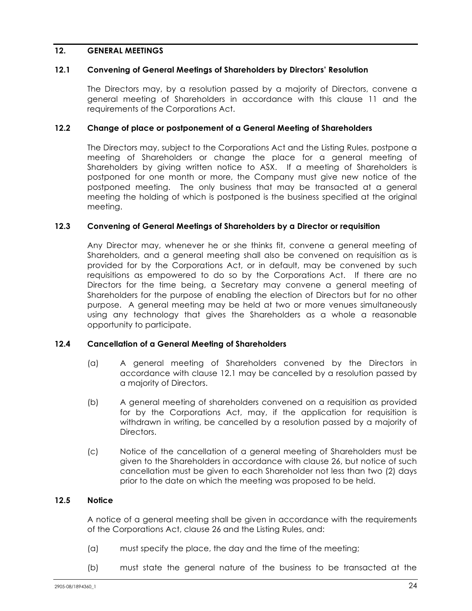## **12. GENERAL MEETINGS**

#### **12.1 Convening of General Meetings of Shareholders by Directors' Resolution**

The Directors may, by a resolution passed by a majority of Directors, convene a general meeting of Shareholders in accordance with this clause 11 and the requirements of the Corporations Act.

#### **12.2 Change of place or postponement of a General Meeting of Shareholders**

The Directors may, subject to the Corporations Act and the Listing Rules, postpone a meeting of Shareholders or change the place for a general meeting of Shareholders by giving written notice to ASX. If a meeting of Shareholders is postponed for one month or more, the Company must give new notice of the postponed meeting. The only business that may be transacted at a general meeting the holding of which is postponed is the business specified at the original meeting.

#### **12.3 Convening of General Meetings of Shareholders by a Director or requisition**

Any Director may, whenever he or she thinks fit, convene a general meeting of Shareholders, and a general meeting shall also be convened on requisition as is provided for by the Corporations Act, or in default, may be convened by such requisitions as empowered to do so by the Corporations Act. If there are no Directors for the time being, a Secretary may convene a general meeting of Shareholders for the purpose of enabling the election of Directors but for no other purpose. A general meeting may be held at two or more venues simultaneously using any technology that gives the Shareholders as a whole a reasonable opportunity to participate.

#### **12.4 Cancellation of a General Meeting of Shareholders**

- (a) A general meeting of Shareholders convened by the Directors in accordance with clause 12.1 may be cancelled by a resolution passed by a majority of Directors.
- (b) A general meeting of shareholders convened on a requisition as provided for by the Corporations Act, may, if the application for requisition is withdrawn in writing, be cancelled by a resolution passed by a majority of Directors.
- (c) Notice of the cancellation of a general meeting of Shareholders must be given to the Shareholders in accordance with clause 26, but notice of such cancellation must be given to each Shareholder not less than two (2) days prior to the date on which the meeting was proposed to be held.

#### **12.5 Notice**

A notice of a general meeting shall be given in accordance with the requirements of the Corporations Act, clause 26 and the Listing Rules, and:

- (a) must specify the place, the day and the time of the meeting;
- (b) must state the general nature of the business to be transacted at the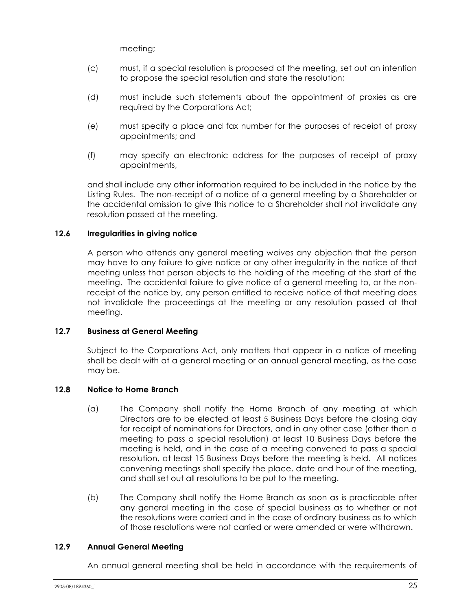meeting;

- (c) must, if a special resolution is proposed at the meeting, set out an intention to propose the special resolution and state the resolution;
- (d) must include such statements about the appointment of proxies as are required by the Corporations Act;
- (e) must specify a place and fax number for the purposes of receipt of proxy appointments; and
- (f) may specify an electronic address for the purposes of receipt of proxy appointments,

and shall include any other information required to be included in the notice by the Listing Rules. The non-receipt of a notice of a general meeting by a Shareholder or the accidental omission to give this notice to a Shareholder shall not invalidate any resolution passed at the meeting.

## **12.6 Irregularities in giving notice**

A person who attends any general meeting waives any objection that the person may have to any failure to give notice or any other irregularity in the notice of that meeting unless that person objects to the holding of the meeting at the start of the meeting. The accidental failure to give notice of a general meeting to, or the nonreceipt of the notice by, any person entitled to receive notice of that meeting does not invalidate the proceedings at the meeting or any resolution passed at that meeting.

## **12.7 Business at General Meeting**

Subject to the Corporations Act, only matters that appear in a notice of meeting shall be dealt with at a general meeting or an annual general meeting, as the case may be.

#### **12.8 Notice to Home Branch**

- (a) The Company shall notify the Home Branch of any meeting at which Directors are to be elected at least 5 Business Days before the closing day for receipt of nominations for Directors, and in any other case (other than a meeting to pass a special resolution) at least 10 Business Days before the meeting is held, and in the case of a meeting convened to pass a special resolution, at least 15 Business Days before the meeting is held. All notices convening meetings shall specify the place, date and hour of the meeting, and shall set out all resolutions to be put to the meeting.
- (b) The Company shall notify the Home Branch as soon as is practicable after any general meeting in the case of special business as to whether or not the resolutions were carried and in the case of ordinary business as to which of those resolutions were not carried or were amended or were withdrawn.

#### **12.9 Annual General Meeting**

An annual general meeting shall be held in accordance with the requirements of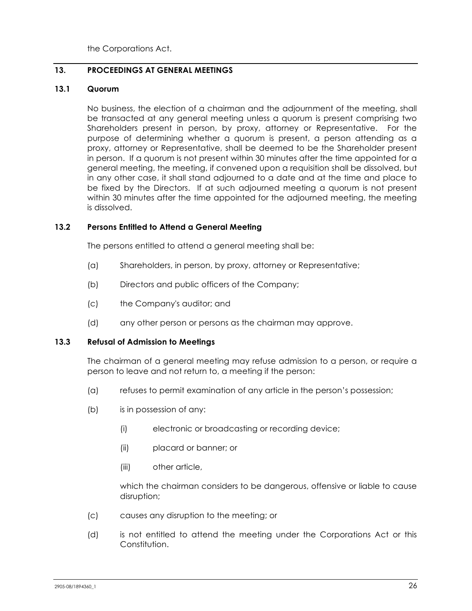the Corporations Act.

## **13. PROCEEDINGS AT GENERAL MEETINGS**

## **13.1 Quorum**

No business, the election of a chairman and the adjournment of the meeting, shall be transacted at any general meeting unless a quorum is present comprising two Shareholders present in person, by proxy, attorney or Representative. For the purpose of determining whether a quorum is present, a person attending as a proxy, attorney or Representative, shall be deemed to be the Shareholder present in person. If a quorum is not present within 30 minutes after the time appointed for a general meeting, the meeting, if convened upon a requisition shall be dissolved, but in any other case, it shall stand adjourned to a date and at the time and place to be fixed by the Directors. If at such adjourned meeting a quorum is not present within 30 minutes after the time appointed for the adjourned meeting, the meeting is dissolved.

## **13.2 Persons Entitled to Attend a General Meeting**

The persons entitled to attend a general meeting shall be:

- (a) Shareholders, in person, by proxy, attorney or Representative;
- (b) Directors and public officers of the Company;
- (c) the Company's auditor; and
- (d) any other person or persons as the chairman may approve.

#### **13.3 Refusal of Admission to Meetings**

The chairman of a general meeting may refuse admission to a person, or require a person to leave and not return to, a meeting if the person:

- (a) refuses to permit examination of any article in the person's possession;
- (b) is in possession of any:
	- (i) electronic or broadcasting or recording device;
	- (ii) placard or banner; or
	- (iii) other article,

which the chairman considers to be dangerous, offensive or liable to cause disruption;

- (c) causes any disruption to the meeting; or
- (d) is not entitled to attend the meeting under the Corporations Act or this Constitution.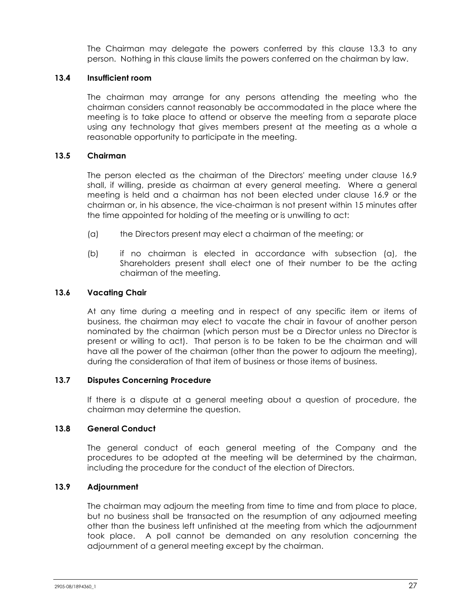The Chairman may delegate the powers conferred by this clause 13.3 to any person. Nothing in this clause limits the powers conferred on the chairman by law.

## **13.4 Insufficient room**

The chairman may arrange for any persons attending the meeting who the chairman considers cannot reasonably be accommodated in the place where the meeting is to take place to attend or observe the meeting from a separate place using any technology that gives members present at the meeting as a whole a reasonable opportunity to participate in the meeting.

## **13.5 Chairman**

The person elected as the chairman of the Directors' meeting under clause 16.9 shall, if willing, preside as chairman at every general meeting. Where a general meeting is held and a chairman has not been elected under clause 16.9 or the chairman or, in his absence, the vice-chairman is not present within 15 minutes after the time appointed for holding of the meeting or is unwilling to act:

- (a) the Directors present may elect a chairman of the meeting; or
- (b) if no chairman is elected in accordance with subsection (a), the Shareholders present shall elect one of their number to be the acting chairman of the meeting.

## **13.6 Vacating Chair**

At any time during a meeting and in respect of any specific item or items of business, the chairman may elect to vacate the chair in favour of another person nominated by the chairman (which person must be a Director unless no Director is present or willing to act). That person is to be taken to be the chairman and will have all the power of the chairman (other than the power to adjourn the meeting), during the consideration of that item of business or those items of business.

#### **13.7 Disputes Concerning Procedure**

If there is a dispute at a general meeting about a question of procedure, the chairman may determine the question.

#### **13.8 General Conduct**

The general conduct of each general meeting of the Company and the procedures to be adopted at the meeting will be determined by the chairman, including the procedure for the conduct of the election of Directors.

#### **13.9 Adjournment**

The chairman may adjourn the meeting from time to time and from place to place, but no business shall be transacted on the resumption of any adjourned meeting other than the business left unfinished at the meeting from which the adjournment took place. A poll cannot be demanded on any resolution concerning the adjournment of a general meeting except by the chairman.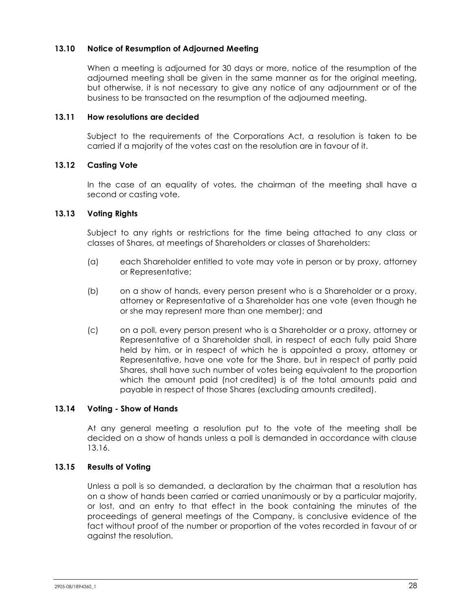## **13.10 Notice of Resumption of Adjourned Meeting**

When a meeting is adjourned for 30 days or more, notice of the resumption of the adjourned meeting shall be given in the same manner as for the original meeting, but otherwise, it is not necessary to give any notice of any adjournment or of the business to be transacted on the resumption of the adjourned meeting.

#### **13.11 How resolutions are decided**

Subject to the requirements of the Corporations Act, a resolution is taken to be carried if a majority of the votes cast on the resolution are in favour of it.

#### **13.12 Casting Vote**

In the case of an equality of votes, the chairman of the meeting shall have a second or casting vote.

#### **13.13 Voting Rights**

Subject to any rights or restrictions for the time being attached to any class or classes of Shares, at meetings of Shareholders or classes of Shareholders:

- (a) each Shareholder entitled to vote may vote in person or by proxy, attorney or Representative;
- (b) on a show of hands, every person present who is a Shareholder or a proxy, attorney or Representative of a Shareholder has one vote (even though he or she may represent more than one member); and
- (c) on a poll, every person present who is a Shareholder or a proxy, attorney or Representative of a Shareholder shall, in respect of each fully paid Share held by him, or in respect of which he is appointed a proxy, attorney or Representative, have one vote for the Share, but in respect of partly paid Shares, shall have such number of votes being equivalent to the proportion which the amount paid (not credited) is of the total amounts paid and payable in respect of those Shares (excluding amounts credited).

#### **13.14 Voting - Show of Hands**

At any general meeting a resolution put to the vote of the meeting shall be decided on a show of hands unless a poll is demanded in accordance with clause 13.16.

#### **13.15 Results of Voting**

Unless a poll is so demanded, a declaration by the chairman that a resolution has on a show of hands been carried or carried unanimously or by a particular majority, or lost, and an entry to that effect in the book containing the minutes of the proceedings of general meetings of the Company, is conclusive evidence of the fact without proof of the number or proportion of the votes recorded in favour of or against the resolution.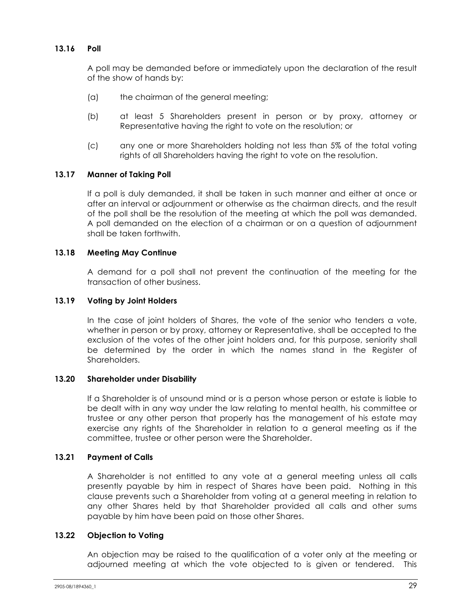## **13.16 Poll**

A poll may be demanded before or immediately upon the declaration of the result of the show of hands by:

- (a) the chairman of the general meeting;
- (b) at least 5 Shareholders present in person or by proxy, attorney or Representative having the right to vote on the resolution; or
- (c) any one or more Shareholders holding not less than 5% of the total voting rights of all Shareholders having the right to vote on the resolution.

## **13.17 Manner of Taking Poll**

If a poll is duly demanded, it shall be taken in such manner and either at once or after an interval or adjournment or otherwise as the chairman directs, and the result of the poll shall be the resolution of the meeting at which the poll was demanded. A poll demanded on the election of a chairman or on a question of adjournment shall be taken forthwith.

## **13.18 Meeting May Continue**

A demand for a poll shall not prevent the continuation of the meeting for the transaction of other business.

#### **13.19 Voting by Joint Holders**

In the case of joint holders of Shares, the vote of the senior who tenders a vote, whether in person or by proxy, attorney or Representative, shall be accepted to the exclusion of the votes of the other joint holders and, for this purpose, seniority shall be determined by the order in which the names stand in the Register of Shareholders.

#### **13.20 Shareholder under Disability**

If a Shareholder is of unsound mind or is a person whose person or estate is liable to be dealt with in any way under the law relating to mental health, his committee or trustee or any other person that properly has the management of his estate may exercise any rights of the Shareholder in relation to a general meeting as if the committee, trustee or other person were the Shareholder.

#### **13.21 Payment of Calls**

A Shareholder is not entitled to any vote at a general meeting unless all calls presently payable by him in respect of Shares have been paid. Nothing in this clause prevents such a Shareholder from voting at a general meeting in relation to any other Shares held by that Shareholder provided all calls and other sums payable by him have been paid on those other Shares.

#### **13.22 Objection to Voting**

An objection may be raised to the qualification of a voter only at the meeting or adjourned meeting at which the vote objected to is given or tendered. This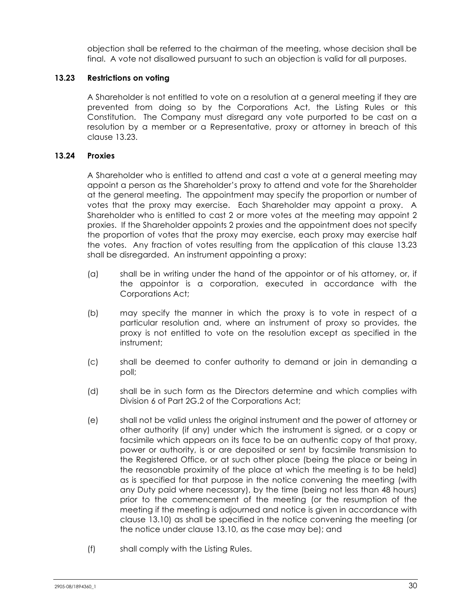objection shall be referred to the chairman of the meeting, whose decision shall be final. A vote not disallowed pursuant to such an objection is valid for all purposes.

## **13.23 Restrictions on voting**

A Shareholder is not entitled to vote on a resolution at a general meeting if they are prevented from doing so by the Corporations Act, the Listing Rules or this Constitution. The Company must disregard any vote purported to be cast on a resolution by a member or a Representative, proxy or attorney in breach of this clause 13.23.

## **13.24 Proxies**

A Shareholder who is entitled to attend and cast a vote at a general meeting may appoint a person as the Shareholder's proxy to attend and vote for the Shareholder at the general meeting. The appointment may specify the proportion or number of votes that the proxy may exercise. Each Shareholder may appoint a proxy. A Shareholder who is entitled to cast 2 or more votes at the meeting may appoint 2 proxies. If the Shareholder appoints 2 proxies and the appointment does not specify the proportion of votes that the proxy may exercise, each proxy may exercise half the votes. Any fraction of votes resulting from the application of this clause 13.23 shall be disregarded. An instrument appointing a proxy:

- (a) shall be in writing under the hand of the appointor or of his attorney, or, if the appointor is a corporation, executed in accordance with the Corporations Act;
- (b) may specify the manner in which the proxy is to vote in respect of a particular resolution and, where an instrument of proxy so provides, the proxy is not entitled to vote on the resolution except as specified in the instrument;
- (c) shall be deemed to confer authority to demand or join in demanding a poll;
- (d) shall be in such form as the Directors determine and which complies with Division 6 of Part 2G.2 of the Corporations Act;
- (e) shall not be valid unless the original instrument and the power of attorney or other authority (if any) under which the instrument is signed, or a copy or facsimile which appears on its face to be an authentic copy of that proxy, power or authority, is or are deposited or sent by facsimile transmission to the Registered Office, or at such other place (being the place or being in the reasonable proximity of the place at which the meeting is to be held) as is specified for that purpose in the notice convening the meeting (with any Duty paid where necessary), by the time (being not less than 48 hours) prior to the commencement of the meeting (or the resumption of the meeting if the meeting is adjourned and notice is given in accordance with clause 13.10) as shall be specified in the notice convening the meeting (or the notice under clause 13.10, as the case may be); and
- (f) shall comply with the Listing Rules.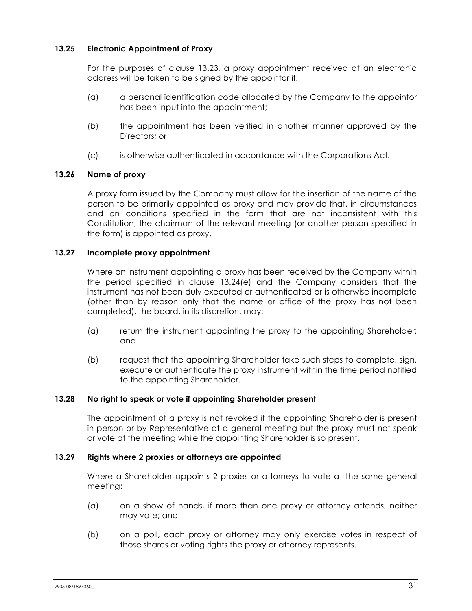## **13.25 Electronic Appointment of Proxy**

For the purposes of clause 13.23, a proxy appointment received at an electronic address will be taken to be signed by the appointor if:

- (a) a personal identification code allocated by the Company to the appointor has been input into the appointment;
- (b) the appointment has been verified in another manner approved by the Directors; or
- (c) is otherwise authenticated in accordance with the Corporations Act.

## **13.26 Name of proxy**

A proxy form issued by the Company must allow for the insertion of the name of the person to be primarily appointed as proxy and may provide that, in circumstances and on conditions specified in the form that are not inconsistent with this Constitution, the chairman of the relevant meeting (or another person specified in the form) is appointed as proxy.

## **13.27 Incomplete proxy appointment**

Where an instrument appointing a proxy has been received by the Company within the period specified in clause 13.24(e) and the Company considers that the instrument has not been duly executed or authenticated or is otherwise incomplete (other than by reason only that the name or office of the proxy has not been completed), the board, in its discretion, may:

- (a) return the instrument appointing the proxy to the appointing Shareholder; and
- (b) request that the appointing Shareholder take such steps to complete, sign, execute or authenticate the proxy instrument within the time period notified to the appointing Shareholder.

#### **13.28 No right to speak or vote if appointing Shareholder present**

The appointment of a proxy is not revoked if the appointing Shareholder is present in person or by Representative at a general meeting but the proxy must not speak or vote at the meeting while the appointing Shareholder is so present.

#### **13.29 Rights where 2 proxies or attorneys are appointed**

Where a Shareholder appoints 2 proxies or attorneys to vote at the same general meeting:

- (a) on a show of hands, if more than one proxy or attorney attends, neither may vote; and
- (b) on a poll, each proxy or attorney may only exercise votes in respect of those shares or voting rights the proxy or attorney represents.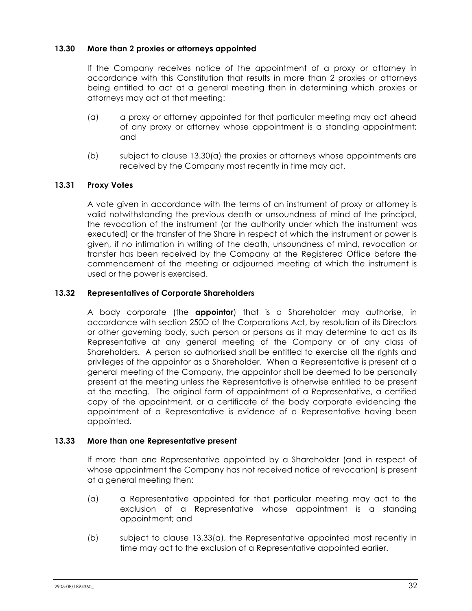## **13.30 More than 2 proxies or attorneys appointed**

If the Company receives notice of the appointment of a proxy or attorney in accordance with this Constitution that results in more than 2 proxies or attorneys being entitled to act at a general meeting then in determining which proxies or attorneys may act at that meeting:

- (a) a proxy or attorney appointed for that particular meeting may act ahead of any proxy or attorney whose appointment is a standing appointment; and
- (b) subject to clause 13.30(a) the proxies or attorneys whose appointments are received by the Company most recently in time may act.

## **13.31 Proxy Votes**

A vote given in accordance with the terms of an instrument of proxy or attorney is valid notwithstanding the previous death or unsoundness of mind of the principal, the revocation of the instrument (or the authority under which the instrument was executed) or the transfer of the Share in respect of which the instrument or power is given, if no intimation in writing of the death, unsoundness of mind, revocation or transfer has been received by the Company at the Registered Office before the commencement of the meeting or adjourned meeting at which the instrument is used or the power is exercised.

## **13.32 Representatives of Corporate Shareholders**

A body corporate (the **appointor**) that is a Shareholder may authorise, in accordance with section 250D of the Corporations Act, by resolution of its Directors or other governing body, such person or persons as it may determine to act as its Representative at any general meeting of the Company or of any class of Shareholders. A person so authorised shall be entitled to exercise all the rights and privileges of the appointor as a Shareholder. When a Representative is present at a general meeting of the Company, the appointor shall be deemed to be personally present at the meeting unless the Representative is otherwise entitled to be present at the meeting. The original form of appointment of a Representative, a certified copy of the appointment, or a certificate of the body corporate evidencing the appointment of a Representative is evidence of a Representative having been appointed.

#### **13.33 More than one Representative present**

If more than one Representative appointed by a Shareholder (and in respect of whose appointment the Company has not received notice of revocation) is present at a general meeting then:

- (a) a Representative appointed for that particular meeting may act to the exclusion of a Representative whose appointment is a standing appointment; and
- (b) subject to clause 13.33(a), the Representative appointed most recently in time may act to the exclusion of a Representative appointed earlier.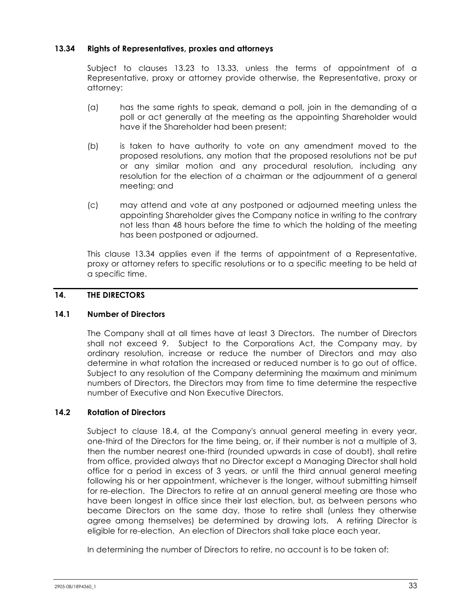## **13.34 Rights of Representatives, proxies and attorneys**

Subject to clauses 13.23 to 13.33, unless the terms of appointment of a Representative, proxy or attorney provide otherwise, the Representative, proxy or attorney:

- (a) has the same rights to speak, demand a poll, join in the demanding of a poll or act generally at the meeting as the appointing Shareholder would have if the Shareholder had been present;
- (b) is taken to have authority to vote on any amendment moved to the proposed resolutions, any motion that the proposed resolutions not be put or any similar motion and any procedural resolution, including any resolution for the election of a chairman or the adjournment of a general meeting; and
- (c) may attend and vote at any postponed or adjourned meeting unless the appointing Shareholder gives the Company notice in writing to the contrary not less than 48 hours before the time to which the holding of the meeting has been postponed or adjourned.

This clause 13.34 applies even if the terms of appointment of a Representative, proxy or attorney refers to specific resolutions or to a specific meeting to be held at a specific time.

## **14. THE DIRECTORS**

## **14.1 Number of Directors**

The Company shall at all times have at least 3 Directors. The number of Directors shall not exceed 9. Subject to the Corporations Act, the Company may, by ordinary resolution, increase or reduce the number of Directors and may also determine in what rotation the increased or reduced number is to go out of office. Subject to any resolution of the Company determining the maximum and minimum numbers of Directors, the Directors may from time to time determine the respective number of Executive and Non Executive Directors.

## **14.2 Rotation of Directors**

Subject to clause 18.4, at the Company's annual general meeting in every year, one-third of the Directors for the time being, or, if their number is not a multiple of 3, then the number nearest one-third (rounded upwards in case of doubt), shall retire from office, provided always that no Director except a Managing Director shall hold office for a period in excess of 3 years, or until the third annual general meeting following his or her appointment, whichever is the longer, without submitting himself for re-election. The Directors to retire at an annual general meeting are those who have been longest in office since their last election, but, as between persons who became Directors on the same day, those to retire shall (unless they otherwise agree among themselves) be determined by drawing lots. A retiring Director is eligible for re-election. An election of Directors shall take place each year.

In determining the number of Directors to retire, no account is to be taken of: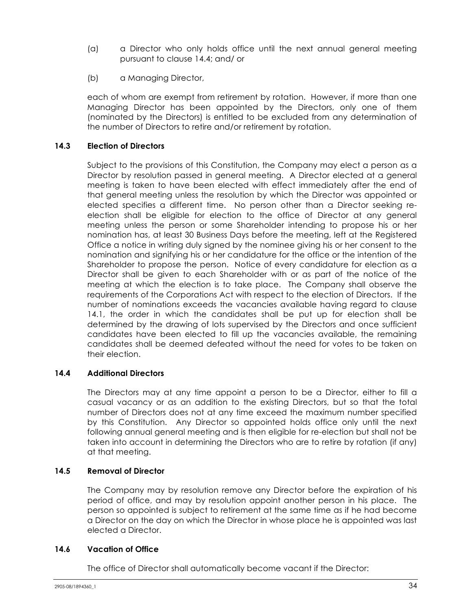- (a) a Director who only holds office until the next annual general meeting pursuant to clause 14.4; and/ or
- (b) a Managing Director,

each of whom are exempt from retirement by rotation. However, if more than one Managing Director has been appointed by the Directors, only one of them (nominated by the Directors) is entitled to be excluded from any determination of the number of Directors to retire and/or retirement by rotation.

## **14.3 Election of Directors**

Subject to the provisions of this Constitution, the Company may elect a person as a Director by resolution passed in general meeting. A Director elected at a general meeting is taken to have been elected with effect immediately after the end of that general meeting unless the resolution by which the Director was appointed or elected specifies a different time. No person other than a Director seeking reelection shall be eligible for election to the office of Director at any general meeting unless the person or some Shareholder intending to propose his or her nomination has, at least 30 Business Days before the meeting, left at the Registered Office a notice in writing duly signed by the nominee giving his or her consent to the nomination and signifying his or her candidature for the office or the intention of the Shareholder to propose the person. Notice of every candidature for election as a Director shall be given to each Shareholder with or as part of the notice of the meeting at which the election is to take place. The Company shall observe the requirements of the Corporations Act with respect to the election of Directors. If the number of nominations exceeds the vacancies available having regard to clause 14.1, the order in which the candidates shall be put up for election shall be determined by the drawing of lots supervised by the Directors and once sufficient candidates have been elected to fill up the vacancies available, the remaining candidates shall be deemed defeated without the need for votes to be taken on their election.

## **14.4 Additional Directors**

The Directors may at any time appoint a person to be a Director, either to fill a casual vacancy or as an addition to the existing Directors, but so that the total number of Directors does not at any time exceed the maximum number specified by this Constitution. Any Director so appointed holds office only until the next following annual general meeting and is then eligible for re-election but shall not be taken into account in determining the Directors who are to retire by rotation (if any) at that meeting.

## **14.5 Removal of Director**

The Company may by resolution remove any Director before the expiration of his period of office, and may by resolution appoint another person in his place. The person so appointed is subject to retirement at the same time as if he had become a Director on the day on which the Director in whose place he is appointed was last elected a Director.

## **14.6 Vacation of Office**

The office of Director shall automatically become vacant if the Director: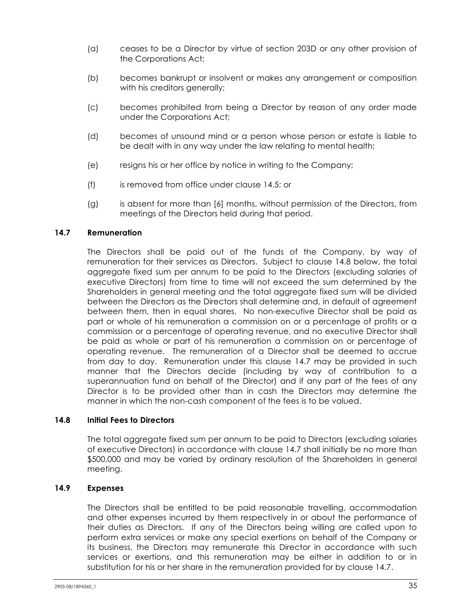- (a) ceases to be a Director by virtue of section 203D or any other provision of the Corporations Act;
- (b) becomes bankrupt or insolvent or makes any arrangement or composition with his creditors generally;
- (c) becomes prohibited from being a Director by reason of any order made under the Corporations Act;
- (d) becomes of unsound mind or a person whose person or estate is liable to be dealt with in any way under the law relating to mental health;
- (e) resigns his or her office by notice in writing to the Company;
- (f) is removed from office under clause 14.5; or
- (g) is absent for more than [6] months, without permission of the Directors, from meetings of the Directors held during that period.

## **14.7 Remuneration**

The Directors shall be paid out of the funds of the Company, by way of remuneration for their services as Directors. Subject to clause 14.8 below, the total aggregate fixed sum per annum to be paid to the Directors (excluding salaries of executive Directors) from time to time will not exceed the sum determined by the Shareholders in general meeting and the total aggregate fixed sum will be divided between the Directors as the Directors shall determine and, in default of agreement between them, then in equal shares. No non-executive Director shall be paid as part or whole of his remuneration a commission on or a percentage of profits or a commission or a percentage of operating revenue, and no executive Director shall be paid as whole or part of his remuneration a commission on or percentage of operating revenue. The remuneration of a Director shall be deemed to accrue from day to day. Remuneration under this clause 14.7 may be provided in such manner that the Directors decide (including by way of contribution to a superannuation fund on behalf of the Director) and if any part of the fees of any Director is to be provided other than in cash the Directors may determine the manner in which the non-cash component of the fees is to be valued.

## **14.8 Initial Fees to Directors**

The total aggregate fixed sum per annum to be paid to Directors (excluding salaries of executive Directors) in accordance with clause 14.7 shall initially be no more than \$500,000 and may be varied by ordinary resolution of the Shareholders in general meeting.

## **14.9 Expenses**

The Directors shall be entitled to be paid reasonable travelling, accommodation and other expenses incurred by them respectively in or about the performance of their duties as Directors. If any of the Directors being willing are called upon to perform extra services or make any special exertions on behalf of the Company or its business, the Directors may remunerate this Director in accordance with such services or exertions, and this remuneration may be either in addition to or in substitution for his or her share in the remuneration provided for by clause 14.7.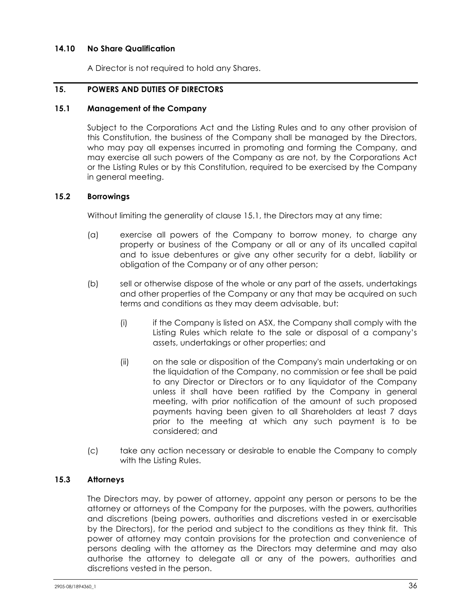## **14.10 No Share Qualification**

A Director is not required to hold any Shares.

## **15. POWERS AND DUTIES OF DIRECTORS**

#### **15.1 Management of the Company**

Subject to the Corporations Act and the Listing Rules and to any other provision of this Constitution, the business of the Company shall be managed by the Directors, who may pay all expenses incurred in promoting and forming the Company, and may exercise all such powers of the Company as are not, by the Corporations Act or the Listing Rules or by this Constitution, required to be exercised by the Company in general meeting.

#### **15.2 Borrowings**

Without limiting the generality of clause 15.1, the Directors may at any time:

- (a) exercise all powers of the Company to borrow money, to charge any property or business of the Company or all or any of its uncalled capital and to issue debentures or give any other security for a debt, liability or obligation of the Company or of any other person;
- (b) sell or otherwise dispose of the whole or any part of the assets, undertakings and other properties of the Company or any that may be acquired on such terms and conditions as they may deem advisable, but:
	- (i) if the Company is listed on ASX, the Company shall comply with the Listing Rules which relate to the sale or disposal of a company's assets, undertakings or other properties; and
	- (ii) on the sale or disposition of the Company's main undertaking or on the liquidation of the Company, no commission or fee shall be paid to any Director or Directors or to any liquidator of the Company unless it shall have been ratified by the Company in general meeting, with prior notification of the amount of such proposed payments having been given to all Shareholders at least 7 days prior to the meeting at which any such payment is to be considered; and
- (c) take any action necessary or desirable to enable the Company to comply with the Listing Rules.

#### **15.3 Attorneys**

The Directors may, by power of attorney, appoint any person or persons to be the attorney or attorneys of the Company for the purposes, with the powers, authorities and discretions (being powers, authorities and discretions vested in or exercisable by the Directors), for the period and subject to the conditions as they think fit. This power of attorney may contain provisions for the protection and convenience of persons dealing with the attorney as the Directors may determine and may also authorise the attorney to delegate all or any of the powers, authorities and discretions vested in the person.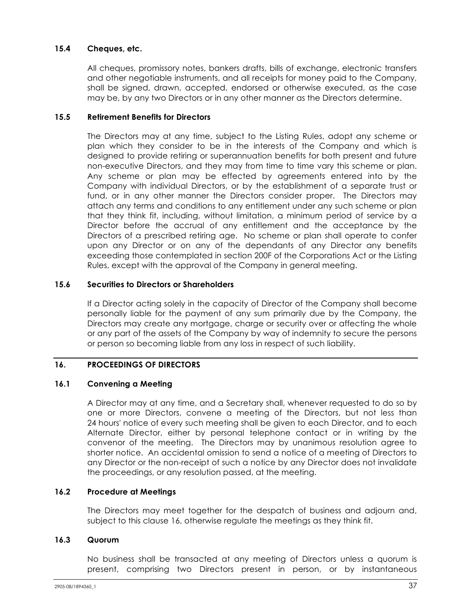## **15.4 Cheques, etc.**

All cheques, promissory notes, bankers drafts, bills of exchange, electronic transfers and other negotiable instruments, and all receipts for money paid to the Company, shall be signed, drawn, accepted, endorsed or otherwise executed, as the case may be, by any two Directors or in any other manner as the Directors determine.

## **15.5 Retirement Benefits for Directors**

The Directors may at any time, subject to the Listing Rules, adopt any scheme or plan which they consider to be in the interests of the Company and which is designed to provide retiring or superannuation benefits for both present and future non-executive Directors, and they may from time to time vary this scheme or plan. Any scheme or plan may be effected by agreements entered into by the Company with individual Directors, or by the establishment of a separate trust or fund, or in any other manner the Directors consider proper. The Directors may attach any terms and conditions to any entitlement under any such scheme or plan that they think fit, including, without limitation, a minimum period of service by a Director before the accrual of any entitlement and the acceptance by the Directors of a prescribed retiring age. No scheme or plan shall operate to confer upon any Director or on any of the dependants of any Director any benefits exceeding those contemplated in section 200F of the Corporations Act or the Listing Rules, except with the approval of the Company in general meeting.

## **15.6 Securities to Directors or Shareholders**

If a Director acting solely in the capacity of Director of the Company shall become personally liable for the payment of any sum primarily due by the Company, the Directors may create any mortgage, charge or security over or affecting the whole or any part of the assets of the Company by way of indemnity to secure the persons or person so becoming liable from any loss in respect of such liability.

## **16. PROCEEDINGS OF DIRECTORS**

## **16.1 Convening a Meeting**

A Director may at any time, and a Secretary shall, whenever requested to do so by one or more Directors, convene a meeting of the Directors, but not less than 24 hours' notice of every such meeting shall be given to each Director, and to each Alternate Director, either by personal telephone contact or in writing by the convenor of the meeting. The Directors may by unanimous resolution agree to shorter notice. An accidental omission to send a notice of a meeting of Directors to any Director or the non-receipt of such a notice by any Director does not invalidate the proceedings, or any resolution passed, at the meeting.

## **16.2 Procedure at Meetings**

The Directors may meet together for the despatch of business and adjourn and, subject to this clause 16, otherwise regulate the meetings as they think fit.

## **16.3 Quorum**

No business shall be transacted at any meeting of Directors unless a quorum is present, comprising two Directors present in person, or by instantaneous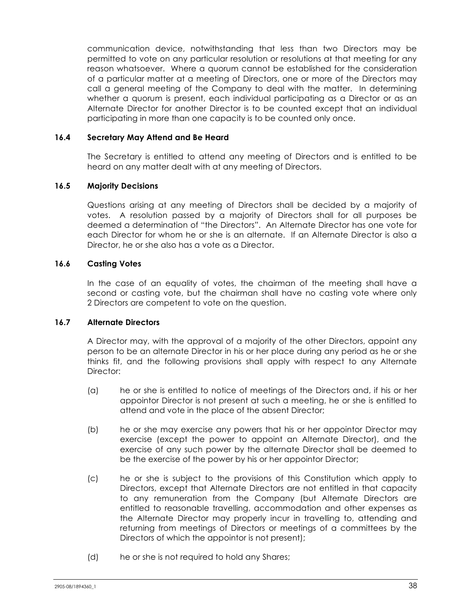communication device, notwithstanding that less than two Directors may be permitted to vote on any particular resolution or resolutions at that meeting for any reason whatsoever. Where a quorum cannot be established for the consideration of a particular matter at a meeting of Directors, one or more of the Directors may call a general meeting of the Company to deal with the matter. In determining whether a quorum is present, each individual participating as a Director or as an Alternate Director for another Director is to be counted except that an individual participating in more than one capacity is to be counted only once.

## **16.4 Secretary May Attend and Be Heard**

The Secretary is entitled to attend any meeting of Directors and is entitled to be heard on any matter dealt with at any meeting of Directors.

## **16.5 Majority Decisions**

Questions arising at any meeting of Directors shall be decided by a majority of votes. A resolution passed by a majority of Directors shall for all purposes be deemed a determination of "the Directors". An Alternate Director has one vote for each Director for whom he or she is an alternate. If an Alternate Director is also a Director, he or she also has a vote as a Director.

## **16.6 Casting Votes**

In the case of an equality of votes, the chairman of the meeting shall have a second or casting vote, but the chairman shall have no casting vote where only 2 Directors are competent to vote on the question.

## **16.7 Alternate Directors**

A Director may, with the approval of a majority of the other Directors, appoint any person to be an alternate Director in his or her place during any period as he or she thinks fit, and the following provisions shall apply with respect to any Alternate Director:

- (a) he or she is entitled to notice of meetings of the Directors and, if his or her appointor Director is not present at such a meeting, he or she is entitled to attend and vote in the place of the absent Director;
- (b) he or she may exercise any powers that his or her appointor Director may exercise (except the power to appoint an Alternate Director), and the exercise of any such power by the alternate Director shall be deemed to be the exercise of the power by his or her appointor Director;
- (c) he or she is subject to the provisions of this Constitution which apply to Directors, except that Alternate Directors are not entitled in that capacity to any remuneration from the Company (but Alternate Directors are entitled to reasonable travelling, accommodation and other expenses as the Alternate Director may properly incur in travelling to, attending and returning from meetings of Directors or meetings of a committees by the Directors of which the appointor is not present);
- (d) he or she is not required to hold any Shares;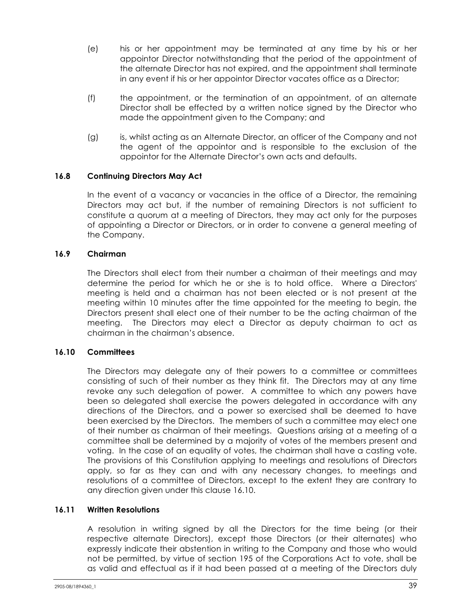- (e) his or her appointment may be terminated at any time by his or her appointor Director notwithstanding that the period of the appointment of the alternate Director has not expired, and the appointment shall terminate in any event if his or her appointor Director vacates office as a Director;
- (f) the appointment, or the termination of an appointment, of an alternate Director shall be effected by a written notice signed by the Director who made the appointment given to the Company; and
- (g) is, whilst acting as an Alternate Director, an officer of the Company and not the agent of the appointor and is responsible to the exclusion of the appointor for the Alternate Director's own acts and defaults.

## **16.8 Continuing Directors May Act**

In the event of a vacancy or vacancies in the office of a Director, the remaining Directors may act but, if the number of remaining Directors is not sufficient to constitute a quorum at a meeting of Directors, they may act only for the purposes of appointing a Director or Directors, or in order to convene a general meeting of the Company.

## **16.9 Chairman**

The Directors shall elect from their number a chairman of their meetings and may determine the period for which he or she is to hold office. Where a Directors' meeting is held and a chairman has not been elected or is not present at the meeting within 10 minutes after the time appointed for the meeting to begin, the Directors present shall elect one of their number to be the acting chairman of the meeting. The Directors may elect a Director as deputy chairman to act as chairman in the chairman's absence.

## **16.10 Committees**

The Directors may delegate any of their powers to a committee or committees consisting of such of their number as they think fit. The Directors may at any time revoke any such delegation of power. A committee to which any powers have been so delegated shall exercise the powers delegated in accordance with any directions of the Directors, and a power so exercised shall be deemed to have been exercised by the Directors. The members of such a committee may elect one of their number as chairman of their meetings. Questions arising at a meeting of a committee shall be determined by a majority of votes of the members present and voting. In the case of an equality of votes, the chairman shall have a casting vote. The provisions of this Constitution applying to meetings and resolutions of Directors apply, so far as they can and with any necessary changes, to meetings and resolutions of a committee of Directors, except to the extent they are contrary to any direction given under this clause 16.10.

## **16.11 Written Resolutions**

A resolution in writing signed by all the Directors for the time being (or their respective alternate Directors), except those Directors (or their alternates) who expressly indicate their abstention in writing to the Company and those who would not be permitted, by virtue of section 195 of the Corporations Act to vote, shall be as valid and effectual as if it had been passed at a meeting of the Directors duly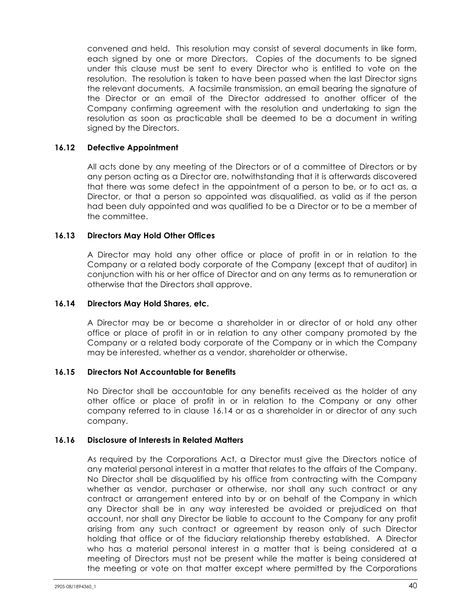convened and held. This resolution may consist of several documents in like form, each signed by one or more Directors. Copies of the documents to be signed under this clause must be sent to every Director who is entitled to vote on the resolution. The resolution is taken to have been passed when the last Director signs the relevant documents. A facsimile transmission, an email bearing the signature of the Director or an email of the Director addressed to another officer of the Company confirming agreement with the resolution and undertaking to sign the resolution as soon as practicable shall be deemed to be a document in writing signed by the Directors.

#### **16.12 Defective Appointment**

All acts done by any meeting of the Directors or of a committee of Directors or by any person acting as a Director are, notwithstanding that it is afterwards discovered that there was some defect in the appointment of a person to be, or to act as, a Director, or that a person so appointed was disqualified, as valid as if the person had been duly appointed and was qualified to be a Director or to be a member of the committee.

## **16.13 Directors May Hold Other Offices**

A Director may hold any other office or place of profit in or in relation to the Company or a related body corporate of the Company (except that of auditor) in conjunction with his or her office of Director and on any terms as to remuneration or otherwise that the Directors shall approve.

## **16.14 Directors May Hold Shares, etc.**

A Director may be or become a shareholder in or director of or hold any other office or place of profit in or in relation to any other company promoted by the Company or a related body corporate of the Company or in which the Company may be interested, whether as a vendor, shareholder or otherwise.

#### **16.15 Directors Not Accountable for Benefits**

No Director shall be accountable for any benefits received as the holder of any other office or place of profit in or in relation to the Company or any other company referred to in clause 16.14 or as a shareholder in or director of any such company.

#### **16.16 Disclosure of Interests in Related Matters**

As required by the Corporations Act, a Director must give the Directors notice of any material personal interest in a matter that relates to the affairs of the Company. No Director shall be disqualified by his office from contracting with the Company whether as vendor, purchaser or otherwise, nor shall any such contract or any contract or arrangement entered into by or on behalf of the Company in which any Director shall be in any way interested be avoided or prejudiced on that account, nor shall any Director be liable to account to the Company for any profit arising from any such contract or agreement by reason only of such Director holding that office or of the fiduciary relationship thereby established. A Director who has a material personal interest in a matter that is being considered at a meeting of Directors must not be present while the matter is being considered at the meeting or vote on that matter except where permitted by the Corporations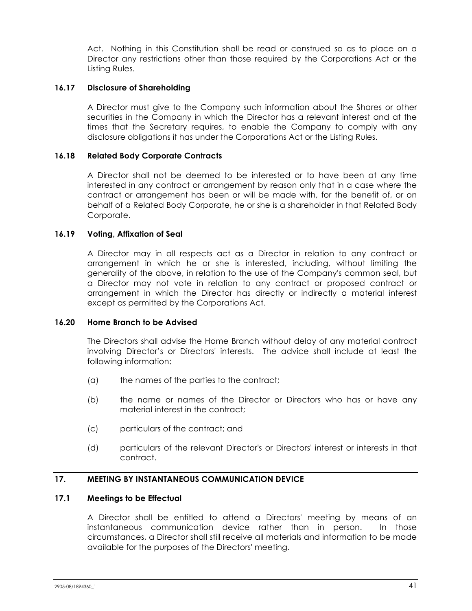Act. Nothing in this Constitution shall be read or construed so as to place on a Director any restrictions other than those required by the Corporations Act or the Listing Rules.

#### **16.17 Disclosure of Shareholding**

A Director must give to the Company such information about the Shares or other securities in the Company in which the Director has a relevant interest and at the times that the Secretary requires, to enable the Company to comply with any disclosure obligations it has under the Corporations Act or the Listing Rules.

## **16.18 Related Body Corporate Contracts**

A Director shall not be deemed to be interested or to have been at any time interested in any contract or arrangement by reason only that in a case where the contract or arrangement has been or will be made with, for the benefit of, or on behalf of a Related Body Corporate, he or she is a shareholder in that Related Body Corporate.

#### **16.19 Voting, Affixation of Seal**

A Director may in all respects act as a Director in relation to any contract or arrangement in which he or she is interested, including, without limiting the generality of the above, in relation to the use of the Company's common seal, but a Director may not vote in relation to any contract or proposed contract or arrangement in which the Director has directly or indirectly a material interest except as permitted by the Corporations Act.

#### **16.20 Home Branch to be Advised**

The Directors shall advise the Home Branch without delay of any material contract involving Director's or Directors' interests. The advice shall include at least the following information:

- (a) the names of the parties to the contract;
- (b) the name or names of the Director or Directors who has or have any material interest in the contract;
- (c) particulars of the contract; and
- (d) particulars of the relevant Director's or Directors' interest or interests in that contract.

## **17. MEETING BY INSTANTANEOUS COMMUNICATION DEVICE**

#### **17.1 Meetings to be Effectual**

A Director shall be entitled to attend a Directors' meeting by means of an instantaneous communication device rather than in person. In those circumstances, a Director shall still receive all materials and information to be made available for the purposes of the Directors' meeting.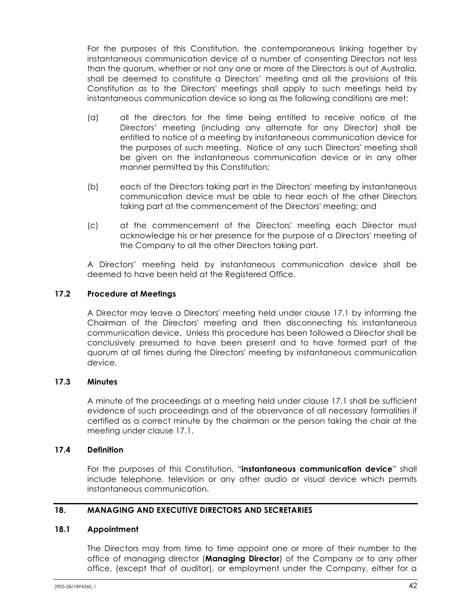For the purposes of this Constitution, the contemporaneous linking together by instantaneous communication device of a number of consenting Directors not less than the quorum, whether or not any one or more of the Directors is out of Australia, shall be deemed to constitute a Directors' meeting and all the provisions of this Constitution as to the Directors' meetings shall apply to such meetings held by instantaneous communication device so long as the following conditions are met:

- (a) all the directors for the time being entitled to receive notice of the Directors' meeting (including any alternate for any Director) shall be entitled to notice of a meeting by instantaneous communication device for the purposes of such meeting. Notice of any such Directors' meeting shall be given on the instantaneous communication device or in any other manner permitted by this Constitution;
- (b) each of the Directors taking part in the Directors' meeting by instantaneous communication device must be able to hear each of the other Directors taking part at the commencement of the Directors' meeting; and
- (c) at the commencement of the Directors' meeting each Director must acknowledge his or her presence for the purpose of a Directors' meeting of the Company to all the other Directors taking part.

A Directors' meeting held by instantaneous communication device shall be deemed to have been held at the Registered Office.

## **17.2 Procedure at Meetings**

A Director may leave a Directors' meeting held under clause 17.1 by informing the Chairman of the Directors' meeting and then disconnecting his instantaneous communication device. Unless this procedure has been followed a Director shall be conclusively presumed to have been present and to have formed part of the quorum at all times during the Directors' meeting by instantaneous communication device.

#### **17.3 Minutes**

A minute of the proceedings at a meeting held under clause 17.1 shall be sufficient evidence of such proceedings and of the observance of all necessary formalities if certified as a correct minute by the chairman or the person taking the chair at the meeting under clause 17.1.

#### **17.4 Definition**

For the purposes of this Constitution, "**instantaneous communication device**" shall include telephone, television or any other audio or visual device which permits instantaneous communication.

#### **18. MANAGING AND EXECUTIVE DIRECTORS AND SECRETARIES**

#### **18.1 Appointment**

The Directors may from time to time appoint one or more of their number to the office of managing director (**Managing Director**) of the Company or to any other office, (except that of auditor), or employment under the Company, either for a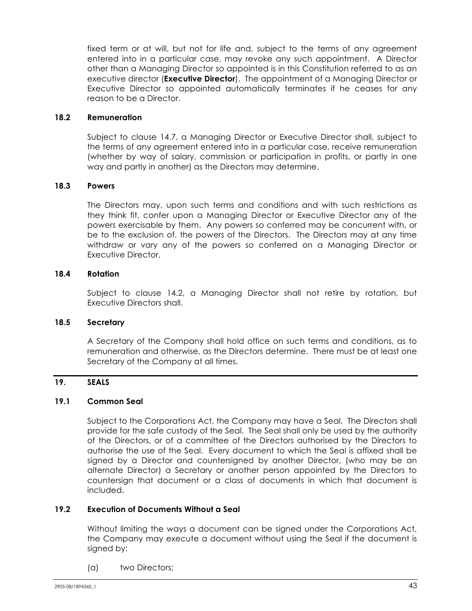fixed term or at will, but not for life and, subject to the terms of any agreement entered into in a particular case, may revoke any such appointment. A Director other than a Managing Director so appointed is in this Constitution referred to as an executive director (**Executive Director**). The appointment of a Managing Director or Executive Director so appointed automatically terminates if he ceases for any reason to be a Director.

#### **18.2 Remuneration**

Subject to clause 14.7, a Managing Director or Executive Director shall, subject to the terms of any agreement entered into in a particular case, receive remuneration (whether by way of salary, commission or participation in profits, or partly in one way and partly in another) as the Directors may determine.

## **18.3 Powers**

The Directors may, upon such terms and conditions and with such restrictions as they think fit, confer upon a Managing Director or Executive Director any of the powers exercisable by them. Any powers so conferred may be concurrent with, or be to the exclusion of, the powers of the Directors. The Directors may at any time withdraw or vary any of the powers so conferred on a Managing Director or Executive Director.

## **18.4 Rotation**

Subject to clause 14.2, a Managing Director shall not retire by rotation, but Executive Directors shall.

## **18.5 Secretary**

A Secretary of the Company shall hold office on such terms and conditions, as to remuneration and otherwise, as the Directors determine. There must be at least one Secretary of the Company at all times.

## **19. SEALS**

## **19.1 Common Seal**

Subject to the Corporations Act, the Company may have a Seal. The Directors shall provide for the safe custody of the Seal. The Seal shall only be used by the authority of the Directors, or of a committee of the Directors authorised by the Directors to authorise the use of the Seal. Every document to which the Seal is affixed shall be signed by a Director and countersigned by another Director, (who may be an alternate Director) a Secretary or another person appointed by the Directors to countersign that document or a class of documents in which that document is included.

## **19.2 Execution of Documents Without a Seal**

Without limiting the ways a document can be signed under the Corporations Act, the Company may execute a document without using the Seal if the document is signed by:

(a) two Directors;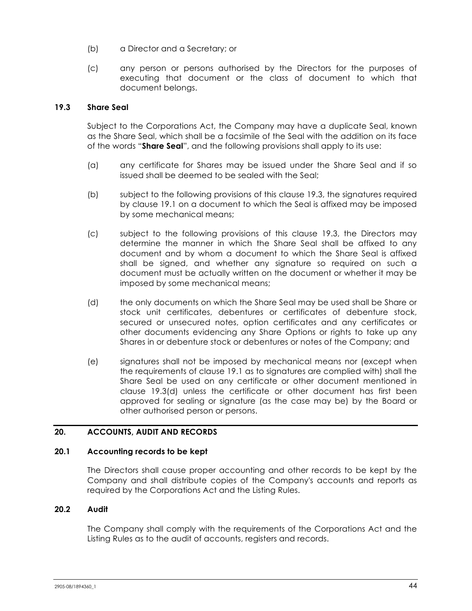- (b) a Director and a Secretary; or
- (c) any person or persons authorised by the Directors for the purposes of executing that document or the class of document to which that document belongs.

#### **19.3 Share Seal**

Subject to the Corporations Act, the Company may have a duplicate Seal, known as the Share Seal, which shall be a facsimile of the Seal with the addition on its face of the words "**Share Seal**", and the following provisions shall apply to its use:

- (a) any certificate for Shares may be issued under the Share Seal and if so issued shall be deemed to be sealed with the Seal;
- (b) subject to the following provisions of this clause 19.3, the signatures required by clause 19.1 on a document to which the Seal is affixed may be imposed by some mechanical means;
- (c) subject to the following provisions of this clause 19.3, the Directors may determine the manner in which the Share Seal shall be affixed to any document and by whom a document to which the Share Seal is affixed shall be signed, and whether any signature so required on such a document must be actually written on the document or whether it may be imposed by some mechanical means;
- (d) the only documents on which the Share Seal may be used shall be Share or stock unit certificates, debentures or certificates of debenture stock, secured or unsecured notes, option certificates and any certificates or other documents evidencing any Share Options or rights to take up any Shares in or debenture stock or debentures or notes of the Company; and
- (e) signatures shall not be imposed by mechanical means nor (except when the requirements of clause 19.1 as to signatures are complied with) shall the Share Seal be used on any certificate or other document mentioned in clause 19.3(d) unless the certificate or other document has first been approved for sealing or signature (as the case may be) by the Board or other authorised person or persons.

## **20. ACCOUNTS, AUDIT AND RECORDS**

## **20.1 Accounting records to be kept**

The Directors shall cause proper accounting and other records to be kept by the Company and shall distribute copies of the Company's accounts and reports as required by the Corporations Act and the Listing Rules.

## **20.2 Audit**

The Company shall comply with the requirements of the Corporations Act and the Listing Rules as to the audit of accounts, registers and records.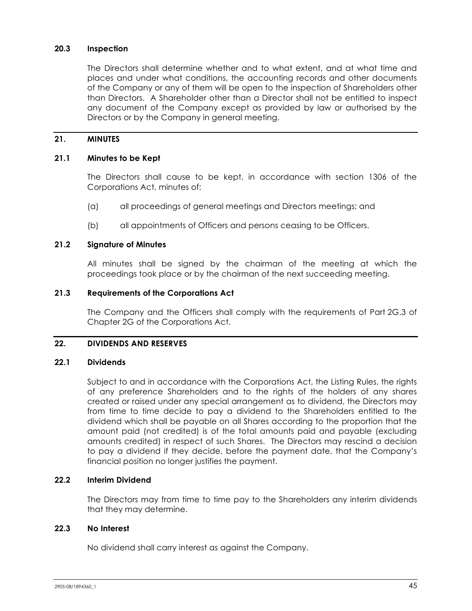## **20.3 Inspection**

The Directors shall determine whether and to what extent, and at what time and places and under what conditions, the accounting records and other documents of the Company or any of them will be open to the inspection of Shareholders other than Directors. A Shareholder other than a Director shall not be entitled to inspect any document of the Company except as provided by law or authorised by the Directors or by the Company in general meeting.

## **21. MINUTES**

## **21.1 Minutes to be Kept**

The Directors shall cause to be kept, in accordance with section 1306 of the Corporations Act, minutes of:

- (a) all proceedings of general meetings and Directors meetings; and
- (b) all appointments of Officers and persons ceasing to be Officers.

#### **21.2 Signature of Minutes**

All minutes shall be signed by the chairman of the meeting at which the proceedings took place or by the chairman of the next succeeding meeting.

## **21.3 Requirements of the Corporations Act**

The Company and the Officers shall comply with the requirements of Part 2G.3 of Chapter 2G of the Corporations Act.

#### **22. DIVIDENDS AND RESERVES**

## **22.1 Dividends**

Subject to and in accordance with the Corporations Act, the Listing Rules, the rights of any preference Shareholders and to the rights of the holders of any shares created or raised under any special arrangement as to dividend, the Directors may from time to time decide to pay a dividend to the Shareholders entitled to the dividend which shall be payable on all Shares according to the proportion that the amount paid (not credited) is of the total amounts paid and payable (excluding amounts credited) in respect of such Shares. The Directors may rescind a decision to pay a dividend if they decide, before the payment date, that the Company's financial position no longer justifies the payment.

## **22.2 Interim Dividend**

The Directors may from time to time pay to the Shareholders any interim dividends that they may determine.

## **22.3 No Interest**

No dividend shall carry interest as against the Company.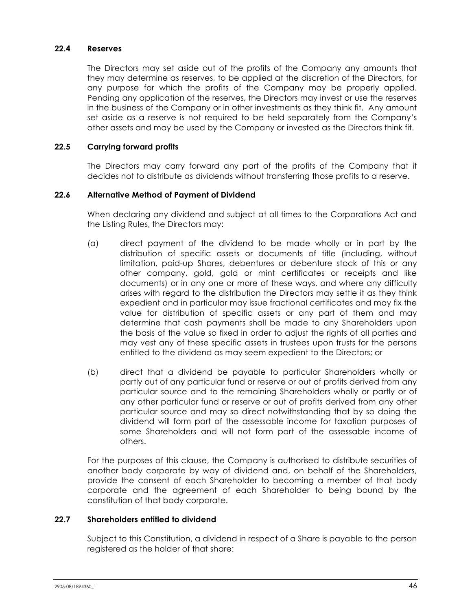#### **22.4 Reserves**

The Directors may set aside out of the profits of the Company any amounts that they may determine as reserves, to be applied at the discretion of the Directors, for any purpose for which the profits of the Company may be properly applied. Pending any application of the reserves, the Directors may invest or use the reserves in the business of the Company or in other investments as they think fit. Any amount set aside as a reserve is not required to be held separately from the Company's other assets and may be used by the Company or invested as the Directors think fit.

## **22.5 Carrying forward profits**

The Directors may carry forward any part of the profits of the Company that it decides not to distribute as dividends without transferring those profits to a reserve.

## **22.6 Alternative Method of Payment of Dividend**

When declaring any dividend and subject at all times to the Corporations Act and the Listing Rules, the Directors may:

- (a) direct payment of the dividend to be made wholly or in part by the distribution of specific assets or documents of title (including, without limitation, paid-up Shares, debentures or debenture stock of this or any other company, gold, gold or mint certificates or receipts and like documents) or in any one or more of these ways, and where any difficulty arises with regard to the distribution the Directors may settle it as they think expedient and in particular may issue fractional certificates and may fix the value for distribution of specific assets or any part of them and may determine that cash payments shall be made to any Shareholders upon the basis of the value so fixed in order to adjust the rights of all parties and may vest any of these specific assets in trustees upon trusts for the persons entitled to the dividend as may seem expedient to the Directors; or
- (b) direct that a dividend be payable to particular Shareholders wholly or partly out of any particular fund or reserve or out of profits derived from any particular source and to the remaining Shareholders wholly or partly or of any other particular fund or reserve or out of profits derived from any other particular source and may so direct notwithstanding that by so doing the dividend will form part of the assessable income for taxation purposes of some Shareholders and will not form part of the assessable income of others.

For the purposes of this clause, the Company is authorised to distribute securities of another body corporate by way of dividend and, on behalf of the Shareholders, provide the consent of each Shareholder to becoming a member of that body corporate and the agreement of each Shareholder to being bound by the constitution of that body corporate.

## **22.7 Shareholders entitled to dividend**

Subject to this Constitution, a dividend in respect of a Share is payable to the person registered as the holder of that share: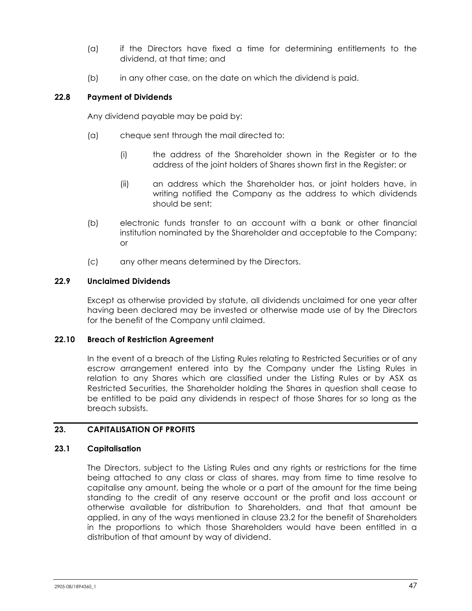- (a) if the Directors have fixed a time for determining entitlements to the dividend, at that time; and
- (b) in any other case, on the date on which the dividend is paid.

## **22.8 Payment of Dividends**

Any dividend payable may be paid by:

- (a) cheque sent through the mail directed to:
	- (i) the address of the Shareholder shown in the Register or to the address of the joint holders of Shares shown first in the Register; or
	- (ii) an address which the Shareholder has, or joint holders have, in writing notified the Company as the address to which dividends should be sent;
- (b) electronic funds transfer to an account with a bank or other financial institution nominated by the Shareholder and acceptable to the Company; or
- (c) any other means determined by the Directors.

#### **22.9 Unclaimed Dividends**

Except as otherwise provided by statute, all dividends unclaimed for one year after having been declared may be invested or otherwise made use of by the Directors for the benefit of the Company until claimed.

#### **22.10 Breach of Restriction Agreement**

In the event of a breach of the Listing Rules relating to Restricted Securities or of any escrow arrangement entered into by the Company under the Listing Rules in relation to any Shares which are classified under the Listing Rules or by ASX as Restricted Securities, the Shareholder holding the Shares in question shall cease to be entitled to be paid any dividends in respect of those Shares for so long as the breach subsists.

## **23. CAPITALISATION OF PROFITS**

#### **23.1 Capitalisation**

The Directors, subject to the Listing Rules and any rights or restrictions for the time being attached to any class or class of shares, may from time to time resolve to capitalise any amount, being the whole or a part of the amount for the time being standing to the credit of any reserve account or the profit and loss account or otherwise available for distribution to Shareholders, and that that amount be applied, in any of the ways mentioned in clause 23.2 for the benefit of Shareholders in the proportions to which those Shareholders would have been entitled in a distribution of that amount by way of dividend.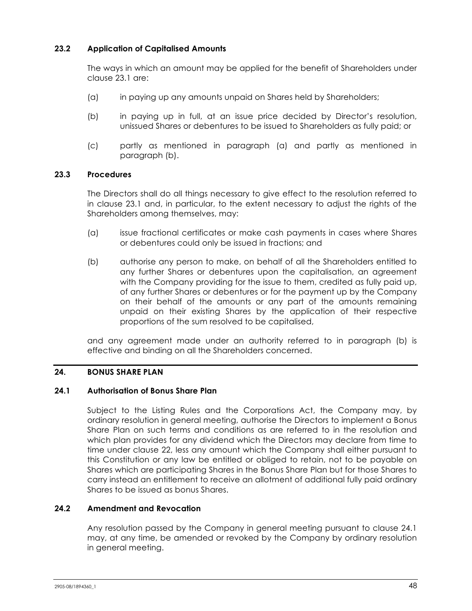## **23.2 Application of Capitalised Amounts**

The ways in which an amount may be applied for the benefit of Shareholders under clause 23.1 are:

- (a) in paying up any amounts unpaid on Shares held by Shareholders;
- (b) in paying up in full, at an issue price decided by Director's resolution, unissued Shares or debentures to be issued to Shareholders as fully paid; or
- (c) partly as mentioned in paragraph (a) and partly as mentioned in paragraph (b).

## **23.3 Procedures**

The Directors shall do all things necessary to give effect to the resolution referred to in clause 23.1 and, in particular, to the extent necessary to adjust the rights of the Shareholders among themselves, may:

- (a) issue fractional certificates or make cash payments in cases where Shares or debentures could only be issued in fractions; and
- (b) authorise any person to make, on behalf of all the Shareholders entitled to any further Shares or debentures upon the capitalisation, an agreement with the Company providing for the issue to them, credited as fully paid up, of any further Shares or debentures or for the payment up by the Company on their behalf of the amounts or any part of the amounts remaining unpaid on their existing Shares by the application of their respective proportions of the sum resolved to be capitalised,

and any agreement made under an authority referred to in paragraph (b) is effective and binding on all the Shareholders concerned.

#### **24. BONUS SHARE PLAN**

#### **24.1 Authorisation of Bonus Share Plan**

Subject to the Listing Rules and the Corporations Act, the Company may, by ordinary resolution in general meeting, authorise the Directors to implement a Bonus Share Plan on such terms and conditions as are referred to in the resolution and which plan provides for any dividend which the Directors may declare from time to time under clause 22, less any amount which the Company shall either pursuant to this Constitution or any law be entitled or obliged to retain, not to be payable on Shares which are participating Shares in the Bonus Share Plan but for those Shares to carry instead an entitlement to receive an allotment of additional fully paid ordinary Shares to be issued as bonus Shares.

## **24.2 Amendment and Revocation**

Any resolution passed by the Company in general meeting pursuant to clause 24.1 may, at any time, be amended or revoked by the Company by ordinary resolution in general meeting.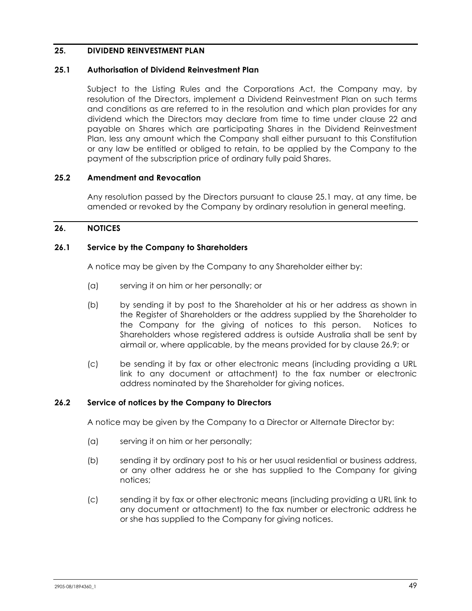## **25. DIVIDEND REINVESTMENT PLAN**

#### **25.1 Authorisation of Dividend Reinvestment Plan**

Subject to the Listing Rules and the Corporations Act, the Company may, by resolution of the Directors, implement a Dividend Reinvestment Plan on such terms and conditions as are referred to in the resolution and which plan provides for any dividend which the Directors may declare from time to time under clause 22 and payable on Shares which are participating Shares in the Dividend Reinvestment Plan, less any amount which the Company shall either pursuant to this Constitution or any law be entitled or obliged to retain, to be applied by the Company to the payment of the subscription price of ordinary fully paid Shares.

#### **25.2 Amendment and Revocation**

Any resolution passed by the Directors pursuant to clause 25.1 may, at any time, be amended or revoked by the Company by ordinary resolution in general meeting.

#### **26. NOTICES**

#### **26.1 Service by the Company to Shareholders**

A notice may be given by the Company to any Shareholder either by:

- (a) serving it on him or her personally; or
- (b) by sending it by post to the Shareholder at his or her address as shown in the Register of Shareholders or the address supplied by the Shareholder to the Company for the giving of notices to this person. Notices to Shareholders whose registered address is outside Australia shall be sent by airmail or, where applicable, by the means provided for by clause 26.9; or
- (c) be sending it by fax or other electronic means (including providing a URL link to any document or attachment) to the fax number or electronic address nominated by the Shareholder for giving notices.

#### **26.2 Service of notices by the Company to Directors**

A notice may be given by the Company to a Director or Alternate Director by:

- (a) serving it on him or her personally;
- (b) sending it by ordinary post to his or her usual residential or business address, or any other address he or she has supplied to the Company for giving notices;
- (c) sending it by fax or other electronic means (including providing a URL link to any document or attachment) to the fax number or electronic address he or she has supplied to the Company for giving notices.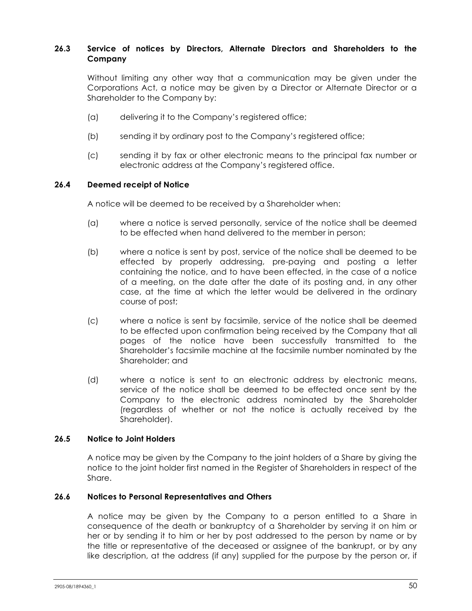## **26.3 Service of notices by Directors, Alternate Directors and Shareholders to the Company**

Without limiting any other way that a communication may be given under the Corporations Act, a notice may be given by a Director or Alternate Director or a Shareholder to the Company by:

- (a) delivering it to the Company's registered office;
- (b) sending it by ordinary post to the Company's registered office;
- (c) sending it by fax or other electronic means to the principal fax number or electronic address at the Company's registered office.

#### **26.4 Deemed receipt of Notice**

A notice will be deemed to be received by a Shareholder when:

- (a) where a notice is served personally, service of the notice shall be deemed to be effected when hand delivered to the member in person;
- (b) where a notice is sent by post, service of the notice shall be deemed to be effected by properly addressing, pre-paying and posting a letter containing the notice, and to have been effected, in the case of a notice of a meeting, on the date after the date of its posting and, in any other case, at the time at which the letter would be delivered in the ordinary course of post;
- (c) where a notice is sent by facsimile, service of the notice shall be deemed to be effected upon confirmation being received by the Company that all pages of the notice have been successfully transmitted to the Shareholder's facsimile machine at the facsimile number nominated by the Shareholder; and
- (d) where a notice is sent to an electronic address by electronic means, service of the notice shall be deemed to be effected once sent by the Company to the electronic address nominated by the Shareholder (regardless of whether or not the notice is actually received by the Shareholder).

#### **26.5 Notice to Joint Holders**

A notice may be given by the Company to the joint holders of a Share by giving the notice to the joint holder first named in the Register of Shareholders in respect of the Share.

#### **26.6 Notices to Personal Representatives and Others**

A notice may be given by the Company to a person entitled to a Share in consequence of the death or bankruptcy of a Shareholder by serving it on him or her or by sending it to him or her by post addressed to the person by name or by the title or representative of the deceased or assignee of the bankrupt, or by any like description, at the address (if any) supplied for the purpose by the person or, if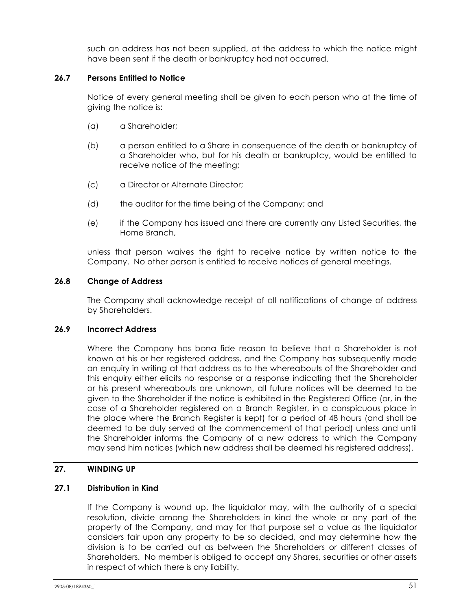such an address has not been supplied, at the address to which the notice might have been sent if the death or bankruptcy had not occurred.

## **26.7 Persons Entitled to Notice**

Notice of every general meeting shall be given to each person who at the time of giving the notice is:

- (a) a Shareholder;
- (b) a person entitled to a Share in consequence of the death or bankruptcy of a Shareholder who, but for his death or bankruptcy, would be entitled to receive notice of the meeting;
- (c) a Director or Alternate Director;
- (d) the auditor for the time being of the Company; and
- (e) if the Company has issued and there are currently any Listed Securities, the Home Branch,

unless that person waives the right to receive notice by written notice to the Company. No other person is entitled to receive notices of general meetings.

#### **26.8 Change of Address**

The Company shall acknowledge receipt of all notifications of change of address by Shareholders.

## **26.9 Incorrect Address**

Where the Company has bona fide reason to believe that a Shareholder is not known at his or her registered address, and the Company has subsequently made an enquiry in writing at that address as to the whereabouts of the Shareholder and this enquiry either elicits no response or a response indicating that the Shareholder or his present whereabouts are unknown, all future notices will be deemed to be given to the Shareholder if the notice is exhibited in the Registered Office (or, in the case of a Shareholder registered on a Branch Register, in a conspicuous place in the place where the Branch Register is kept) for a period of 48 hours (and shall be deemed to be duly served at the commencement of that period) unless and until the Shareholder informs the Company of a new address to which the Company may send him notices (which new address shall be deemed his registered address).

#### **27. WINDING UP**

## **27.1 Distribution in Kind**

If the Company is wound up, the liquidator may, with the authority of a special resolution, divide among the Shareholders in kind the whole or any part of the property of the Company, and may for that purpose set a value as the liquidator considers fair upon any property to be so decided, and may determine how the division is to be carried out as between the Shareholders or different classes of Shareholders. No member is obliged to accept any Shares, securities or other assets in respect of which there is any liability.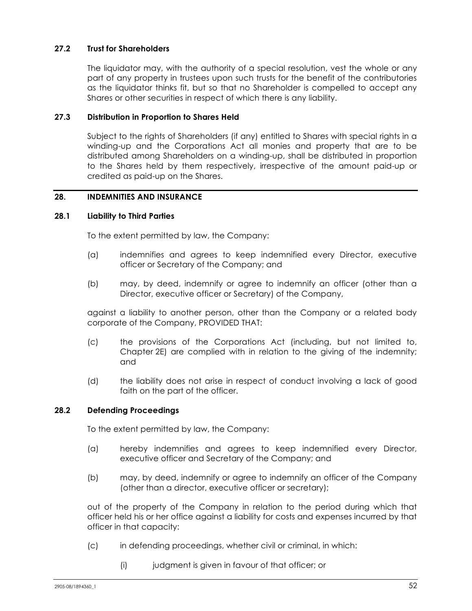## **27.2 Trust for Shareholders**

The liquidator may, with the authority of a special resolution, vest the whole or any part of any property in trustees upon such trusts for the benefit of the contributories as the liquidator thinks fit, but so that no Shareholder is compelled to accept any Shares or other securities in respect of which there is any liability.

## **27.3 Distribution in Proportion to Shares Held**

Subject to the rights of Shareholders (if any) entitled to Shares with special rights in a winding-up and the Corporations Act all monies and property that are to be distributed among Shareholders on a winding-up, shall be distributed in proportion to the Shares held by them respectively, irrespective of the amount paid-up or credited as paid-up on the Shares.

## **28. INDEMNITIES AND INSURANCE**

## **28.1 Liability to Third Parties**

To the extent permitted by law, the Company:

- (a) indemnifies and agrees to keep indemnified every Director, executive officer or Secretary of the Company; and
- (b) may, by deed, indemnify or agree to indemnify an officer (other than a Director, executive officer or Secretary) of the Company,

against a liability to another person, other than the Company or a related body corporate of the Company, PROVIDED THAT:

- (c) the provisions of the Corporations Act (including, but not limited to, Chapter 2E) are complied with in relation to the giving of the indemnity; and
- (d) the liability does not arise in respect of conduct involving a lack of good faith on the part of the officer.

#### **28.2 Defending Proceedings**

To the extent permitted by law, the Company:

- (a) hereby indemnifies and agrees to keep indemnified every Director, executive officer and Secretary of the Company; and
- (b) may, by deed, indemnify or agree to indemnify an officer of the Company (other than a director, executive officer or secretary);

out of the property of the Company in relation to the period during which that officer held his or her office against a liability for costs and expenses incurred by that officer in that capacity:

- (c) in defending proceedings, whether civil or criminal, in which:
	- (i) judgment is given in favour of that officer; or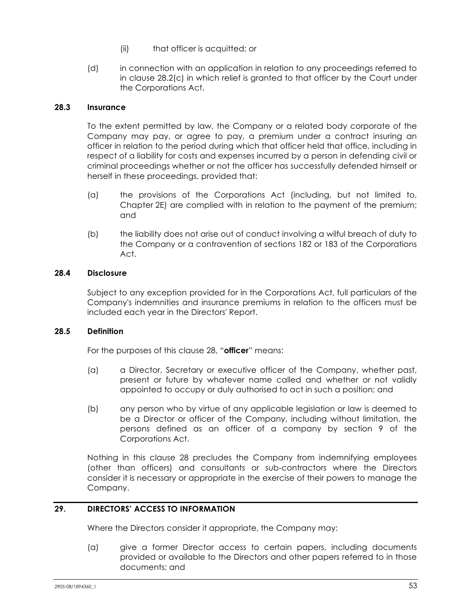- (ii) that officer is acquitted; or
- (d) in connection with an application in relation to any proceedings referred to in clause 28.2(c) in which relief is granted to that officer by the Court under the Corporations Act.

## **28.3 Insurance**

To the extent permitted by law, the Company or a related body corporate of the Company may pay, or agree to pay, a premium under a contract insuring an officer in relation to the period during which that officer held that office, including in respect of a liability for costs and expenses incurred by a person in defending civil or criminal proceedings whether or not the officer has successfully defended himself or herself in these proceedings, provided that:

- (a) the provisions of the Corporations Act (including, but not limited to, Chapter 2E) are complied with in relation to the payment of the premium; and
- (b) the liability does not arise out of conduct involving a wilful breach of duty to the Company or a contravention of sections 182 or 183 of the Corporations Act.

## **28.4 Disclosure**

Subject to any exception provided for in the Corporations Act, full particulars of the Company's indemnities and insurance premiums in relation to the officers must be included each year in the Directors' Report.

## **28.5 Definition**

For the purposes of this clause 28, "**officer**" means:

- (a) a Director, Secretary or executive officer of the Company, whether past, present or future by whatever name called and whether or not validly appointed to occupy or duly authorised to act in such a position; and
- (b) any person who by virtue of any applicable legislation or law is deemed to be a Director or officer of the Company, including without limitation, the persons defined as an officer of a company by section 9 of the Corporations Act.

Nothing in this clause 28 precludes the Company from indemnifying employees (other than officers) and consultants or sub-contractors where the Directors consider it is necessary or appropriate in the exercise of their powers to manage the Company.

## **29. DIRECTORS' ACCESS TO INFORMATION**

Where the Directors consider it appropriate, the Company may:

(a) give a former Director access to certain papers, including documents provided or available to the Directors and other papers referred to in those documents; and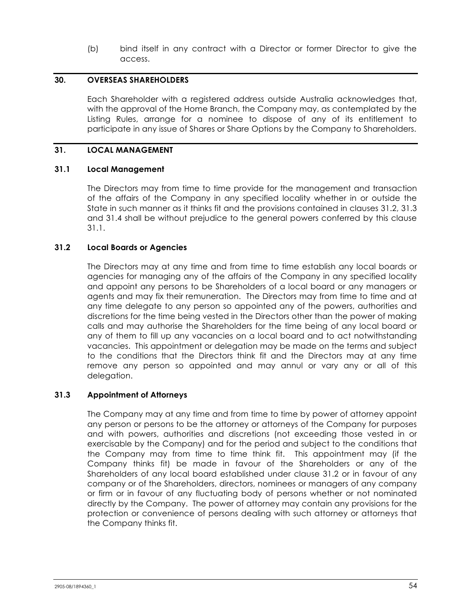(b) bind itself in any contract with a Director or former Director to give the access.

#### **30. OVERSEAS SHAREHOLDERS**

Each Shareholder with a registered address outside Australia acknowledges that, with the approval of the Home Branch, the Company may, as contemplated by the Listing Rules, arrange for a nominee to dispose of any of its entitlement to participate in any issue of Shares or Share Options by the Company to Shareholders.

## **31. LOCAL MANAGEMENT**

## **31.1 Local Management**

The Directors may from time to time provide for the management and transaction of the affairs of the Company in any specified locality whether in or outside the State in such manner as it thinks fit and the provisions contained in clauses 31.2, 31.3 and 31.4 shall be without prejudice to the general powers conferred by this clause 31.1.

## **31.2 Local Boards or Agencies**

The Directors may at any time and from time to time establish any local boards or agencies for managing any of the affairs of the Company in any specified locality and appoint any persons to be Shareholders of a local board or any managers or agents and may fix their remuneration. The Directors may from time to time and at any time delegate to any person so appointed any of the powers, authorities and discretions for the time being vested in the Directors other than the power of making calls and may authorise the Shareholders for the time being of any local board or any of them to fill up any vacancies on a local board and to act notwithstanding vacancies. This appointment or delegation may be made on the terms and subject to the conditions that the Directors think fit and the Directors may at any time remove any person so appointed and may annul or vary any or all of this delegation.

#### **31.3 Appointment of Attorneys**

The Company may at any time and from time to time by power of attorney appoint any person or persons to be the attorney or attorneys of the Company for purposes and with powers, authorities and discretions (not exceeding those vested in or exercisable by the Company) and for the period and subject to the conditions that the Company may from time to time think fit. This appointment may (if the Company thinks fit) be made in favour of the Shareholders or any of the Shareholders of any local board established under clause 31.2 or in favour of any company or of the Shareholders, directors, nominees or managers of any company or firm or in favour of any fluctuating body of persons whether or not nominated directly by the Company. The power of attorney may contain any provisions for the protection or convenience of persons dealing with such attorney or attorneys that the Company thinks fit.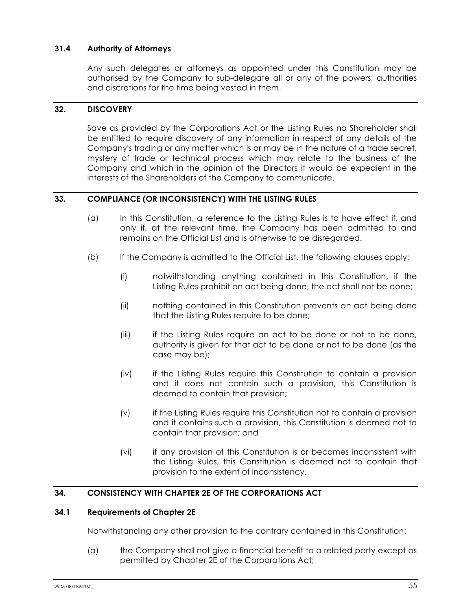## **31.4 Authority of Attorneys**

Any such delegates or attorneys as appointed under this Constitution may be authorised by the Company to sub-delegate all or any of the powers, authorities and discretions for the time being vested in them.

#### **32. DISCOVERY**

Save as provided by the Corporations Act or the Listing Rules no Shareholder shall be entitled to require discovery of any information in respect of any details of the Company's trading or any matter which is or may be in the nature of a trade secret, mystery of trade or technical process which may relate to the business of the Company and which in the opinion of the Directors it would be expedient in the interests of the Shareholders of the Company to communicate.

## **33. COMPLIANCE (OR INCONSISTENCY) WITH THE LISTING RULES**

- (a) In this Constitution, a reference to the Listing Rules is to have effect if, and only if, at the relevant time, the Company has been admitted to and remains on the Official List and is otherwise to be disregarded.
- (b) If the Company is admitted to the Official List, the following clauses apply:
	- (i) notwithstanding anything contained in this Constitution, if the Listing Rules prohibit an act being done, the act shall not be done;
	- (ii) nothing contained in this Constitution prevents an act being done that the Listing Rules require to be done;
	- (iii) if the Listing Rules require an act to be done or not to be done, authority is given for that act to be done or not to be done (as the case may be);
	- (iv) if the Listing Rules require this Constitution to contain a provision and it does not contain such a provision, this Constitution is deemed to contain that provision;
	- (v) if the Listing Rules require this Constitution not to contain a provision and it contains such a provision, this Constitution is deemed not to contain that provision; and
	- (vi) if any provision of this Constitution is or becomes inconsistent with the Listing Rules, this Constitution is deemed not to contain that provision to the extent of inconsistency.

## **34. CONSISTENCY WITH CHAPTER 2E OF THE CORPORATIONS ACT**

#### **34.1 Requirements of Chapter 2E**

Notwithstanding any other provision to the contrary contained in this Constitution:

(a) the Company shall not give a financial benefit to a related party except as permitted by Chapter 2E of the Corporations Act;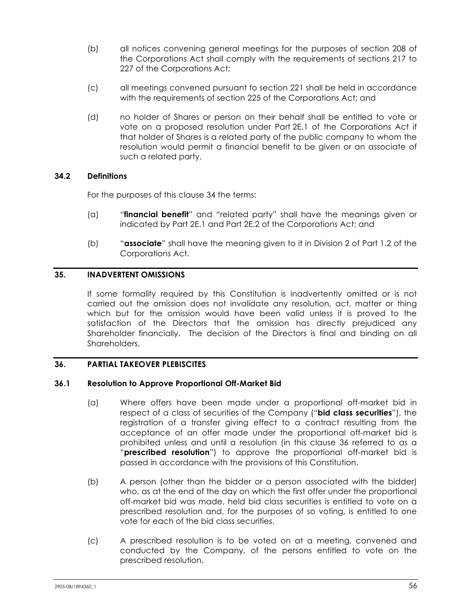- (b) all notices convening general meetings for the purposes of section 208 of the Corporations Act shall comply with the requirements of sections 217 to 227 of the Corporations Act;
- (c) all meetings convened pursuant to section 221 shall be held in accordance with the requirements of section 225 of the Corporations Act; and
- (d) no holder of Shares or person on their behalf shall be entitled to vote or vote on a proposed resolution under Part 2E.1 of the Corporations Act if that holder of Shares is a related party of the public company to whom the resolution would permit a financial benefit to be given or an associate of such a related party.

## **34.2 Definitions**

For the purposes of this clause 34 the terms:

- (a) "**financial benefit**" and "related party" shall have the meanings given or indicated by Part 2E.1 and Part 2E.2 of the Corporations Act; and
- (b) "**associate**" shall have the meaning given to it in Division 2 of Part 1.2 of the Corporations Act.

## **35. INADVERTENT OMISSIONS**

If some formality required by this Constitution is inadvertently omitted or is not carried out the omission does not invalidate any resolution, act, matter or thing which but for the omission would have been valid unless it is proved to the satisfaction of the Directors that the omission has directly prejudiced any Shareholder financially. The decision of the Directors is final and binding on all Shareholders.

## **36. PARTIAL TAKEOVER PLEBISCITES**

#### **36.1 Resolution to Approve Proportional Off-Market Bid**

- (a) Where offers have been made under a proportional off-market bid in respect of a class of securities of the Company ("**bid class securities**"), the registration of a transfer giving effect to a contract resulting from the acceptance of an offer made under the proportional off-market bid is prohibited unless and until a resolution (in this clause 36 referred to as a "**prescribed resolution**") to approve the proportional off-market bid is passed in accordance with the provisions of this Constitution.
- (b) A person (other than the bidder or a person associated with the bidder) who, as at the end of the day on which the first offer under the proportional off-market bid was made, held bid class securities is entitled to vote on a prescribed resolution and, for the purposes of so voting, is entitled to one vote for each of the bid class securities.
- (c) A prescribed resolution is to be voted on at a meeting, convened and conducted by the Company, of the persons entitled to vote on the prescribed resolution.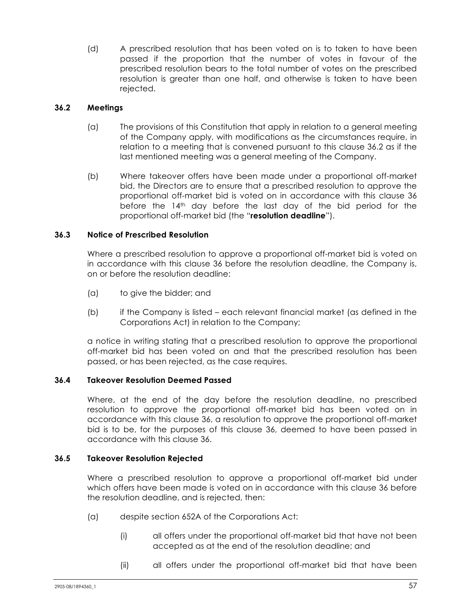(d) A prescribed resolution that has been voted on is to taken to have been passed if the proportion that the number of votes in favour of the prescribed resolution bears to the total number of votes on the prescribed resolution is greater than one half, and otherwise is taken to have been rejected.

## **36.2 Meetings**

- (a) The provisions of this Constitution that apply in relation to a general meeting of the Company apply, with modifications as the circumstances require, in relation to a meeting that is convened pursuant to this clause 36.2 as if the last mentioned meeting was a general meeting of the Company.
- (b) Where takeover offers have been made under a proportional off-market bid, the Directors are to ensure that a prescribed resolution to approve the proportional off-market bid is voted on in accordance with this clause 36 before the 14th day before the last day of the bid period for the proportional off-market bid (the "**resolution deadline**").

## **36.3 Notice of Prescribed Resolution**

Where a prescribed resolution to approve a proportional off-market bid is voted on in accordance with this clause 36 before the resolution deadline, the Company is, on or before the resolution deadline:

- (a) to give the bidder; and
- (b) if the Company is listed each relevant financial market (as defined in the Corporations Act) in relation to the Company;

a notice in writing stating that a prescribed resolution to approve the proportional off-market bid has been voted on and that the prescribed resolution has been passed, or has been rejected, as the case requires.

#### **36.4 Takeover Resolution Deemed Passed**

Where, at the end of the day before the resolution deadline, no prescribed resolution to approve the proportional off-market bid has been voted on in accordance with this clause 36, a resolution to approve the proportional off-market bid is to be, for the purposes of this clause 36, deemed to have been passed in accordance with this clause 36.

#### **36.5 Takeover Resolution Rejected**

Where a prescribed resolution to approve a proportional off-market bid under which offers have been made is voted on in accordance with this clause 36 before the resolution deadline, and is rejected, then:

- (a) despite section 652A of the Corporations Act:
	- (i) all offers under the proportional off-market bid that have not been accepted as at the end of the resolution deadline; and
	- (ii) all offers under the proportional off-market bid that have been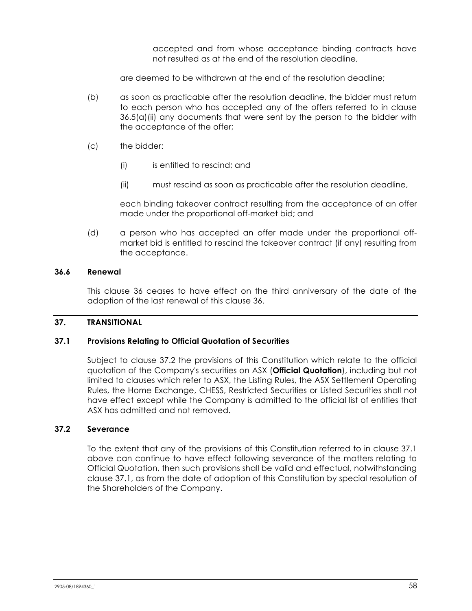accepted and from whose acceptance binding contracts have not resulted as at the end of the resolution deadline,

are deemed to be withdrawn at the end of the resolution deadline;

- (b) as soon as practicable after the resolution deadline, the bidder must return to each person who has accepted any of the offers referred to in clause 36.5(a)(ii) any documents that were sent by the person to the bidder with the acceptance of the offer;
- (c) the bidder:
	- (i) is entitled to rescind; and
	- (ii) must rescind as soon as practicable after the resolution deadline,

each binding takeover contract resulting from the acceptance of an offer made under the proportional off-market bid; and

(d) a person who has accepted an offer made under the proportional offmarket bid is entitled to rescind the takeover contract (if any) resulting from the acceptance.

#### **36.6 Renewal**

This clause 36 ceases to have effect on the third anniversary of the date of the adoption of the last renewal of this clause 36.

## **37. TRANSITIONAL**

#### **37.1 Provisions Relating to Official Quotation of Securities**

Subject to clause 37.2 the provisions of this Constitution which relate to the official quotation of the Company's securities on ASX (**Official Quotation**), including but not limited to clauses which refer to ASX, the Listing Rules, the ASX Settlement Operating Rules, the Home Exchange, CHESS, Restricted Securities or Listed Securities shall not have effect except while the Company is admitted to the official list of entities that ASX has admitted and not removed.

#### **37.2 Severance**

To the extent that any of the provisions of this Constitution referred to in clause 37.1 above can continue to have effect following severance of the matters relating to Official Quotation, then such provisions shall be valid and effectual, notwithstanding clause 37.1, as from the date of adoption of this Constitution by special resolution of the Shareholders of the Company.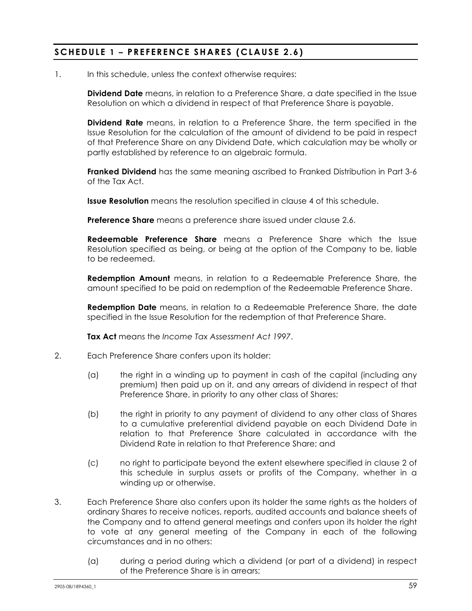## **SCHEDULE 1 – PREFERENCE SHARES (CLAUSE 2.6 )**

#### 1. In this schedule, unless the context otherwise requires:

**Dividend Date** means, in relation to a Preference Share, a date specified in the Issue Resolution on which a dividend in respect of that Preference Share is payable.

**Dividend Rate** means, in relation to a Preference Share, the term specified in the Issue Resolution for the calculation of the amount of dividend to be paid in respect of that Preference Share on any Dividend Date, which calculation may be wholly or partly established by reference to an algebraic formula.

**Franked Dividend** has the same meaning ascribed to Franked Distribution in Part 3-6 of the Tax Act.

**Issue Resolution** means the resolution specified in clause 4 of this schedule.

**Preference Share** means a preference share issued under clause 2.6.

**Redeemable Preference Share** means a Preference Share which the Issue Resolution specified as being, or being at the option of the Company to be, liable to be redeemed.

**Redemption Amount** means, in relation to a Redeemable Preference Share, the amount specified to be paid on redemption of the Redeemable Preference Share.

**Redemption Date** means, in relation to a Redeemable Preference Share, the date specified in the Issue Resolution for the redemption of that Preference Share.

**Tax Act** means the *Income Tax Assessment Act 1997*.

- 2. Each Preference Share confers upon its holder:
	- (a) the right in a winding up to payment in cash of the capital (including any premium) then paid up on it, and any arrears of dividend in respect of that Preference Share, in priority to any other class of Shares;
	- (b) the right in priority to any payment of dividend to any other class of Shares to a cumulative preferential dividend payable on each Dividend Date in relation to that Preference Share calculated in accordance with the Dividend Rate in relation to that Preference Share; and
	- (c) no right to participate beyond the extent elsewhere specified in clause 2 of this schedule in surplus assets or profits of the Company, whether in a winding up or otherwise.
- 3. Each Preference Share also confers upon its holder the same rights as the holders of ordinary Shares to receive notices, reports, audited accounts and balance sheets of the Company and to attend general meetings and confers upon its holder the right to vote at any general meeting of the Company in each of the following circumstances and in no others:
	- (a) during a period during which a dividend (or part of a dividend) in respect of the Preference Share is in arrears;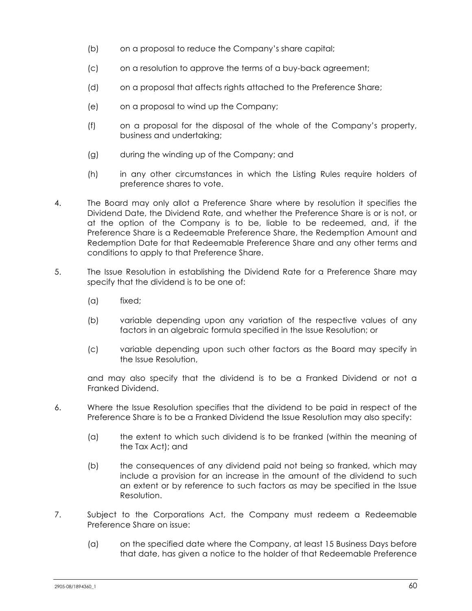- (b) on a proposal to reduce the Company's share capital;
- (c) on a resolution to approve the terms of a buy-back agreement;
- (d) on a proposal that affects rights attached to the Preference Share;
- (e) on a proposal to wind up the Company;
- (f) on a proposal for the disposal of the whole of the Company's property, business and undertaking;
- (g) during the winding up of the Company; and
- (h) in any other circumstances in which the Listing Rules require holders of preference shares to vote.
- 4. The Board may only allot a Preference Share where by resolution it specifies the Dividend Date, the Dividend Rate, and whether the Preference Share is or is not, or at the option of the Company is to be, liable to be redeemed, and, if the Preference Share is a Redeemable Preference Share, the Redemption Amount and Redemption Date for that Redeemable Preference Share and any other terms and conditions to apply to that Preference Share.
- 5. The Issue Resolution in establishing the Dividend Rate for a Preference Share may specify that the dividend is to be one of:
	- (a) fixed;
	- (b) variable depending upon any variation of the respective values of any factors in an algebraic formula specified in the Issue Resolution; or
	- (c) variable depending upon such other factors as the Board may specify in the Issue Resolution,

and may also specify that the dividend is to be a Franked Dividend or not a Franked Dividend.

- 6. Where the Issue Resolution specifies that the dividend to be paid in respect of the Preference Share is to be a Franked Dividend the Issue Resolution may also specify:
	- (a) the extent to which such dividend is to be franked (within the meaning of the Tax Act); and
	- (b) the consequences of any dividend paid not being so franked, which may include a provision for an increase in the amount of the dividend to such an extent or by reference to such factors as may be specified in the Issue Resolution.
- 7. Subject to the Corporations Act, the Company must redeem a Redeemable Preference Share on issue:
	- (a) on the specified date where the Company, at least 15 Business Days before that date, has given a notice to the holder of that Redeemable Preference